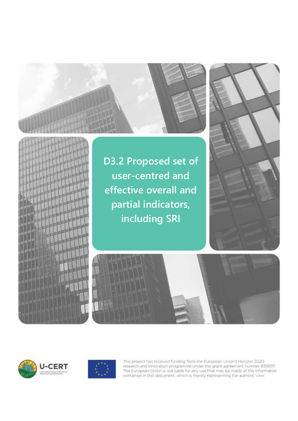



**D3.2 Proposed set of user-centred and effective overall and partial indicators, including SRI**









This project has received funding from the European Union's Horizon 2020 research and innovation programme under the grant agreement number 839937. The European Union is not liable for any use that may be made of the information contained in this document, which is merely representing the authors' view.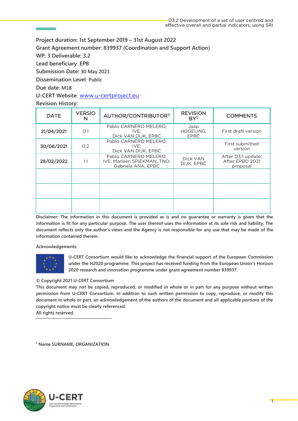**Project duration: 1st September 2019 – 31st August 2022 Grant Agreement number: 839937 (Coordination and Support Action) WP: 3 Deliverable: 3.2 Lead beneficiary**: **EPB Submission Date:** 30 May 2021 **Dissemination Level**: Public **Due date**: M18

**U-CERT Website**: [www.u-certproject.eu](http://www.u-certproject.eu/)

### **Revision History:**

| <b>DATE</b> | <b>VERSIO</b><br>N | AUTHOR/CONTRIBUTOR <sup>1)</sup>                                           | <b>REVISION</b><br>$BY^1$        | <b>COMMENTS</b>                                   |
|-------------|--------------------|----------------------------------------------------------------------------|----------------------------------|---------------------------------------------------|
| 21/04/2021  | O.1                | Pablo CARNERO MELERO,<br>IVE:<br>Dick VAN DIJK, EPBC                       | Jaap<br>HOGELING,<br><b>EPBC</b> | First draft version                               |
| 30/06/2021  | O.2                | Pablo CARNERO MELERO.<br>IVE:<br>Dick VAN DIJK, EPBC                       |                                  | First submitted<br>version                        |
| 28/02/2022  | 1.1                | Pablo CARNERO MELERO,<br>IVE; Marleen SPIEKMAN, TNO;<br>Gabriela ANA, EPBC | Dick VAN<br>DIJK, EPBC           | After D3.1 update:<br>After EPBD 2021<br>proposal |
|             |                    |                                                                            |                                  |                                                   |
|             |                    |                                                                            |                                  |                                                   |
|             |                    |                                                                            |                                  |                                                   |

**Disclaimer: The information in this document is provided as is and no guarantee or warranty is given that the information is fit for any particular purpose. The user thereof uses the information at its sole risk and liability. The document reflects only the author's views and the Agency is not responsible for any use that may be made of the information contained therein.**

**Acknowledgements:**



**U-CERT Consortium would like to acknowledge the financial support of the European Commission under the H2020 programme. This project has received funding from the European Union's Horizon 2020 research and innovation programme under grant agreement number 839937.**

### **© Copyright 2021 U-CERT Consortium**

**This document may not be copied, reproduced, or modified in whole or in part for any purpose without written permission from U-CERT Consortium. In addition to such written permission to copy, reproduce, or modify this document in whole or part, an acknowledgement of the authors of the document and all applicable portions of the copyright notice must be clearly referenced.**

**All rights reserved.**

**<sup>1</sup> Name SURNAME, ORGANIZATION**

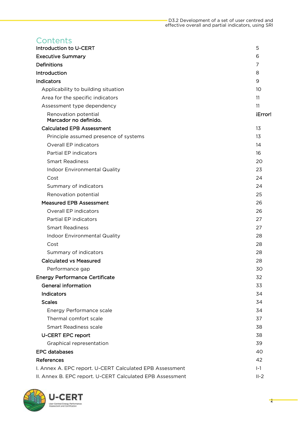## **Contents**

| Introduction to U-CERT                                    | 5       |
|-----------------------------------------------------------|---------|
| <b>Executive Summary</b>                                  | 6       |
| <b>Definitions</b>                                        | 7       |
| Introduction                                              | 8       |
| <b>Indicators</b>                                         | 9       |
| Applicability to building situation                       | 10      |
| Area for the specific indicators                          | 11      |
| Assessment type dependency                                | 11      |
| Renovation potential<br>Marcador no definido.             | iError! |
| <b>Calculated EPB Assessment</b>                          | 13      |
| Principle assumed presence of systems                     | 13      |
| <b>Overall EP indicators</b>                              | 14      |
| Partial EP indicators                                     | 16      |
| <b>Smart Readiness</b>                                    | 20      |
| <b>Indoor Environmental Quality</b>                       | 23      |
| Cost                                                      | 24      |
| Summary of indicators                                     | 24      |
| Renovation potential                                      | 25      |
| <b>Measured EPB Assessment</b>                            | 26      |
| Overall EP indicators                                     | 26      |
| Partial EP indicators                                     | 27      |
| <b>Smart Readiness</b>                                    | 27      |
| Indoor Environmental Quality                              | 28      |
| Cost                                                      | 28      |
| Summary of indicators                                     | 28      |
| <b>Calculated vs Measured</b>                             | 28      |
| Performance gap                                           | 30      |
| <b>Energy Performance Certificate</b>                     | 32      |
| <b>General information</b>                                | 33      |
| <b>Indicators</b>                                         | 34      |
| <b>Scales</b>                                             | 34      |
| Energy Performance scale                                  | 34      |
| Thermal comfort scale                                     | 37      |
| <b>Smart Readiness scale</b>                              | 38      |
| <b>U-CERT EPC report</b>                                  | 38      |
| Graphical representation                                  | 39      |
| <b>EPC</b> databases                                      | 40      |
| References                                                | 42      |
| I. Annex A. EPC report. U-CERT Calculated EPB Assessment  | $I-1$   |
| II. Annex B. EPC report. U-CERT Calculated EPB Assessment | $II-2$  |

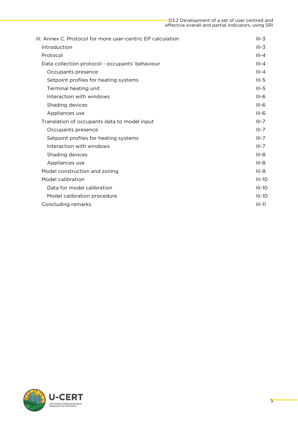| III. Annex C. Protocol for more user-centric EP calculation | $III - 3$ |
|-------------------------------------------------------------|-----------|
| Introduction                                                | $III - 3$ |
| Protocol                                                    | $III - 4$ |
| Data collection protocol - occupants' behaviour             | $III - 4$ |
| Occupants presence                                          | $III - 4$ |
| Setpoint profiles for heating systems                       | $III-5$   |
| Terminal heating unit                                       | $III-5$   |
| Interaction with windows                                    | $III-6$   |
| Shading devices                                             | $III-6$   |
| Appliances use                                              | $III-6$   |
| Translation of occupants data to model input                | $III - 7$ |
| Occupants presence                                          | $III - 7$ |
| Setpoint profiles for heating systems                       | $III - 7$ |
| Interaction with windows                                    | $III - 7$ |
| Shading devices                                             | $III - 8$ |
| Appliances use                                              | $III - 8$ |
| Model construction and zoning                               | $III-8$   |
| Model calibration                                           | $III-10$  |
| Data for model calibration                                  | $III-10$  |
| Model calibration procedure                                 | $III-10$  |
| Concluding remarks                                          | $III-11$  |
|                                                             |           |

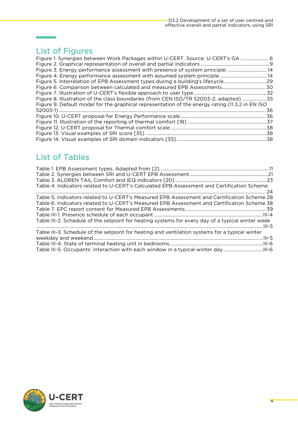## [List of Figures](#page-6-1)

**Contract Contract** 

| Figure 1. Synergies between Work Packages within U-CERT. Source: U-CERT's GA  6                 |  |
|-------------------------------------------------------------------------------------------------|--|
|                                                                                                 |  |
| Figure 3. Energy performance assessment with presence of system principle.  14                  |  |
|                                                                                                 |  |
|                                                                                                 |  |
|                                                                                                 |  |
|                                                                                                 |  |
| Figure 8. Illustration of the class boundaries (from CEN ISO/TR 52003-2, adapted)35             |  |
| Figure 9. Default model for the graphical representation of the energy rating (11.3.2 in EN ISO |  |
|                                                                                                 |  |
|                                                                                                 |  |
|                                                                                                 |  |
|                                                                                                 |  |
|                                                                                                 |  |
|                                                                                                 |  |
|                                                                                                 |  |

## List of Tables

| Table 4. Indicators related to U-CERT's Calculated EPB Assessment and Certification Scheme                                                                                                                                                                                                     |  |
|------------------------------------------------------------------------------------------------------------------------------------------------------------------------------------------------------------------------------------------------------------------------------------------------|--|
| Table 5. Indicators related to U-CERT's Measured EPB Assessment and Certification Scheme.28<br>Table 6. Indicators related to U-CERT's Measured EPB Assessment and Certification Scheme 38<br>Table III-2. Schedule of the setpoint for heating systems for every day of a typical winter week |  |
| Table III-3. Schedule of the setpoint for heating and ventilation systems for a typical winter<br>Table III-5. Occupants' interaction with each window in a typical winter dayIII-6                                                                                                            |  |

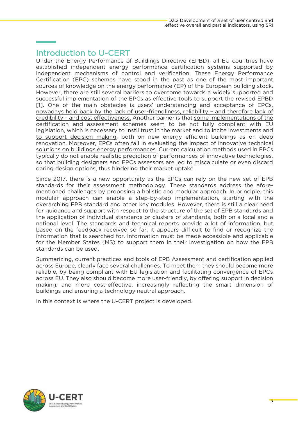## <span id="page-5-0"></span>Introduction to U-CERT

ŗ

Under the Energy Performance of Buildings Directive (EPBD), all EU countries have established independent energy performance certification systems supported by independent mechanisms of control and verification. These Energy Performance Certification (EPC) schemes have stood in the past as one of the most important sources of knowledge on the energy performance (EP) of the European building stock. However, there are still several barriers to overcome towards a widely supported and successful implementation of the EPCs as effective tools to support the revised EPBD [1]. One of the main obstacles is users' understanding and acceptance of EPCs, nowadays held back by the lack of user-friendliness, reliability - and therefore lack of credibility - and cost effectiveness. Another barrier is that some implementations of the certification and assessment schemes seem to be not fully compliant with EU legislation, which is necessary to instil trust in the market and to incite investments and to support decision making, both on new energy efficient buildings as on deep renovation. Moreover, EPCs often fail in evaluating the impact of innovative technical solutions on buildings energy performances. Current calculation methods used in EPCs typically do not enable realistic prediction of performances of innovative technologies. so that building designers and EPCs assessors are led to miscalculate or even discard daring design options, thus hindering their market uptake. daring design options, thus hindering their market uptake.

Since 2017, there is a new opportunity as the EPCs can rely on the new set of EPB standards for their assessment methodology. These standards address the aforementioned challenges by proposing a holistic and modular approach. In principle, this modular approach can enable a step-by-step implementation, starting with the overarching EPB standard and other key modules. However, there is still a clear need for guidance and support with respect to the structure of the set of EPB standards and the application of individual standards or clusters of standards, both on a local and a national level. The standards and technical reports provide a lot of information, but based on the feedback received so far, it appears difficult to find or recognize the information that is searched for. Information must be made accessible and applicable for the Member States (MS) to support them in their investigation on how the EPB standards can be used. standards can be used.

Summarizing, current practices and tools of EPB Assessment and certification applied reliable, by being compliant with EU legislation and facilitating convergence of EPCs across EU. They also should become more user-friendly, by offering support in decision making; and more cost-effective, increasingly reflecting the smart dimension of buildings and ensuring a technology neutral approach. buildings and ensuring a technology neutral approach.

In this context is where the U-CERT project is developed.

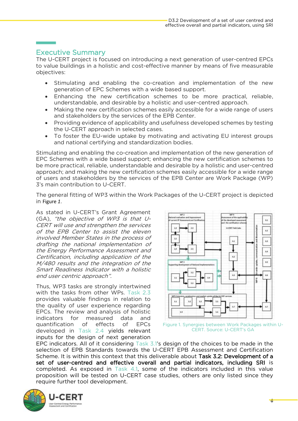## <span id="page-6-0"></span>**Executive Summary**

I

The U-CERT project is focused on introducing a next generation of user-centred EPCs to value buildings in a holistic and cost-effective manner by means of five measurable to value buildings in a holistic and cost-effective manner by means of five measurable objectives:

- Stimulating and enabling the co-creation and implementation of the new generation of EPC Schemes with a wide based support.
- Enhancing the new certification schemes to be more practical, reliable,<br>understandable and desirable by a bolistic and user-centred approach
- Making the new certification schemes easily accessible for a wide range of users<br>and stakeholders by the services of the FPB Center
- Providing evidence of applicability and usefulness developed schemes by testing<br>the LLCERT approach in selected cases
- To foster the EU-wide uptake by motivating and activating EU interest groups<br>and national certifying and standardization bodies and national certifying and standardization bodies.

Stimulating and enabling the co-creation and implementation of the new generation of EPC Schemes with a wide based support; enhancing the new certification schemes to be more practical, reliable, understandable and desirable by a holistic and user-centred approach; and making the new certification schemes easily accessible for a wide range of users and stakeholders by the services of the EPB Center are Work Package (WP) of users and stakeholders by the services of the EPB center are Work Package (WP).<br>3's main contribution to U-CERT 3's main contribution to U-CERT.

T[he gener](#page-6-1)al fitting of WP3 with the U-CERT project is depicted the U-CERT project is depicted. in Figure *1*.

(GA), "the objective of WP3 is that U-CERT will use and strengthen the services CERT will use and strengthen the services of the EPB Center to assist the eleven involved Member States in the process of drafting the national implementation of the Energy Performance Assessment and Certification, including application of the M/480 results and the integration of the Smart Readiness Indicator with a holistic end user centric approach".

Thus, WP3 tasks are strongly intertwined<br>with the tasks from other WPs. Task 2.3 provides valuable findings in relation to the quality of user experience regarding EPCs. The review and analysis of holistic indicators for measured data and quantification of effects of EPCs developed in Task 2.4 yields relevant inputs for the design of next generation



<span id="page-6-1"></span>CERT. Source: U-CERT's GA

EPC indicators. All of it considering Task  $3.1$ 's design of the choices to be made in the selection of EPB Standards towards the U-CERT EPB Assessment and Certification Scheme. It is within this context that this deliverable about Task 3.2: Development of a set of user-centred and effective overall and partial indicators, including SRI is completed. As exposed in Task 4.1, some of the indicators included in this value proposition will be tested on U-CERT case studies, others are only listed since they require further tool development. require further tool development.

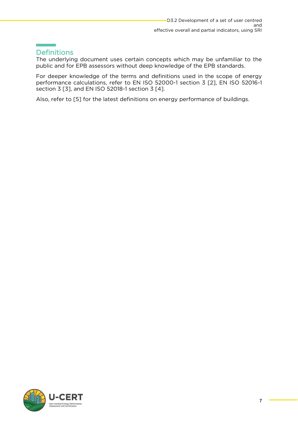## <span id="page-7-0"></span>**Definitions**

L

The underlying document uses certain concepts which may be unfamiliar to the  $\frac{1}{2}$  mubic and for FPR assessors without deep knowledge of the FPR standards public and for EPB assessors without deep knowledge of the EPB standards.

For deeper knowledge of the terms and definitions used in the scope of energy performance calculations, refer to EN ISO 52000-1 section 3 [2], EN ISO 52016-1 performance calculations, refer to EN ISO 52016. The CONCRETE  $\frac{1}{2}$ , EN ISO 52016-1 section 3 [4] section 3 [3], and EN ISO 52018-1 section 3 [4].

Also, refer to [5] for the latest definitions on energy performance of buildings.

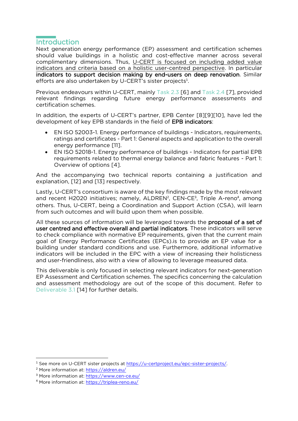## <span id="page-8-0"></span>Introduction

Next generation energy performance (EP) assessment and certification schemes should value buildings in a holistic and cost-effective manner across several complimentary dimensions. Thus, U-CERT is focused on including added value indicators and criteria based on a holistic user-centred perspective. In particular indicators to support decision making by end-users on deep renovation. Similar efforts are also undertaken by U-CERT's sister projects<sup>1</sup>.

Previous endeavours with the control of the control and the CERT, mainly task 2.3 million of the Task 2.4 mill relation schemes

In addition, the experts of U-CERT's partner, EPB Center [8][9][10], have led the development of key EPB standards in the field of EPB indicators:  $\mathcal{L}$  development of  $\mathcal{L}$  standards in the field of EPB indicators:

- EN ISO 52003-1. Energy performance of buildings Indicators, requirements, energy performance [11].
- EN ISO 52018-1. Energy performance of buildings Indicators for partial EPB<br>• requirements related to thermal energy balance and fabric features Part 1: requirements related to thermal energy balance and fabric features - Part 1:<br>Overview of options [4]. Overview of options [4].

And the accompanying two technical reports containing a justification and explanation, [12] and [13] respectively.

and recent H2020 initiatives; namely, ALDREN<sup>2</sup>, CEN-CE<sup>3</sup>, Triple A-reno<sup>4</sup>, among<br>others, Thus U-CEPT, being a Coordination and Support Action (CSA), will learn others. Thus, U-CERT, being a Coordination and Support Action (CSA), will learn from such outcomes and will build upon them when possible. from such outcomes and will build upon them when possible.

All these sources of information will be leveraged towards the **proposal of a set of user centred and effective overall and partial indicators**. These indicators will serve to check compliance with normative EP requirements, given that the current main goal of Energy Performance Certificates (EPCs) is to provide an EP value for a building under standard conditions and use. Furthermore, additional informative indicators will be included in the EPC with a view of increasing their holisticness and user-friendliness, also with a view of allowing to leverage measured data. and user-friendliness, also with a view of allowing to leverage measured data.

This deliverable is only focused in selecting relevant indicators for next-generation<br>EP Assessment and Certification schemes. The specifics concerning the calculation and assessment methodology are out of the scope of this document. Refer to Deliverable 3.1 [14] for further details. Deliverable 3.1 [14] for further details.

<sup>&</sup>lt;sup>1</sup> See more on U-CERT sister projects at https://u-certproject.eu/epc-sister-projects/.

 $\frac{1}{2}$  More information at https://aldren.eu/

<sup>&</sup>lt;sup>3</sup> More information at: https://www.cen-

 $4$  More information at: https://triplea-reno.eu/ More information at: https://triplea-reno.eu/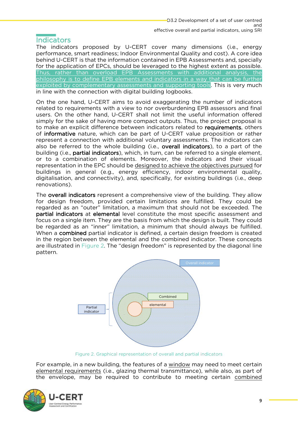## <span id="page-9-0"></span>**Indicators**

The indicators proposed by U-CERT cover many dimensions (i.e., energy performance, smart readiness; Indoor Environmental Quality and cost). A core idea behind U-CERT is that the information contained in EPB Assessments and, specially for the application of EPCs, should be leveraged to the highest extent as possible. Thus, rather than overload EPB Assessments with additional analysis, the philosophy is to define EPB elements and indicators in a way that can be further exploited by complementary assessments and supporting tools. This is very much in line with the connection with digital building logbooks.

in line with the connection with digital building logbooks. On the one hand, U-CERT aims to avoid exaggerating the number of indicators related to requirements with a view to nor overburdening EPB assessors and final users. On the other hand, U-CERT shall not limit the useful information offered simply for the sake of having more compact outputs. Thus, the project proposal is to make an explicit difference between indicators related to **requirements**, others of informative nature, which can be part of U-CERT value proposition or rather represent a connection with additional voluntary assessments. The indicators can also be referred to the whole building (i.e., overall indicators), to a part of the building (i.e., **partial indicators**), which, in turn, can be referred to a single element, or to a combination of elements. Moreover, the indicators and their visual representation in the EPC should be designed to achieve the objectives pursued for buildings in general (e.g., energy efficiency, indoor environmental quality,  $\frac{1}{2}$  digitalization and connectivity) and specifically for existing buildings (i.e., deep digitalisation, and connectivity), and, specifically, for existing buildings (i.e., deep<br>renovations) renovations).

The **overall indicators** represent a comprehensive view of the building. They allow for design freedom, provided certain limitations are fulfilled. They could be regarded as an "outer" limitation, a maximum that should not be exceeded. The partial indicators at elemental level constitute the most specific assessment and focus on a single item. They are the basis from which the design is built. They could be regarded as an "inner" limitation, a minimum that should always be fulfilled. When a **combined** partial indicator is defined, a certain design freedom is created in the region between the elemental and the combined indicator. These concepts are illustrated in Figure 2. The "design freedom" is represented by the diagonal line are in Figure 2. The strategies in Figure 2. The diagonal line diagonal line diagonal line diagonal line diagonal line diagonal line diagonal line diagonal line diagonal line diagonal line diagonal line diagonal line diago pattern.



Figure 2. Graphical representation of overall and partial indicators

<span id="page-9-1"></span>For example, in a new building, the features of a <u>window</u> may need to meet certain elemental requirements (i.e., glazing thermal transmittance), while also, as part of the envelope, may be required to contribute to meeting certain combined the envelope, may be required to contribute to meeting certain <u>combined</u>

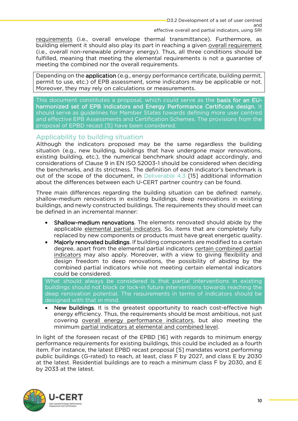effective overall and partial indicators, using SRI requirements (i.e., overall envelope thermal transmittance). Furthermore, as building element it should also play its part in reaching a given overall requirement  $(i.e., overall non-renewable primary energy)$ . Thus, all three conditions should be fulfilled, meaning that meeting the elemental requirements is not a quarantee of meeting the combined nor the overall requirements. meeting the combined nor the overall requirements.

Depending on the **application** (e.g., energy performance certificate, building permit, permit to use, etc.) of EPB assessment, some indicators may be applicable or not. Moreover, they may rely on calculations or measurements. Moreover, they may rely on calculations or measurements.

This document constitutes a proposal, which could serve as the basis for an EU-<br>harmonized set of EPB indicators and Energy Performance Certificate design. It should serve as quidelines for Member States towards defining more user centred and effective EPB Assessments and Certification Schemes. The provisions from the proposal of EPBD recast [5] have been considered. proposal of EPBD recast [5] have been considered.

<span id="page-10-0"></span>Applicability to building situation<br>Although the indicators proposed may be the same regardless the building situation (e.g., new building, buildings that have undergone major renovations, existing building, etc.), the numerical benchmark should adapt accordingly, and considerations of Clause 9 in EN ISO 52003-1 should be considered when deciding the benchmarks, and its strictness. The definition of each indicator's benchmark is out of the scope of the document, in Deliverable  $4.3$  [15] additional information out of the scope of the document, in Deliverable 1.3 [15] additional information.<br>about the differences between each U-CERT partner country can be found about the differences between each U-CERT partner country can be found.

Three main differences regarding the building situation can be defined: namely, shallow-medium renovations in existing buildings, deep renovations in existing buildings, and newly constructed buildings. The requirements they should meet can be defined in an incremental manner: be defined in an incremental manner:

- **Shallow-medium renovations**. The elements renovated should abide by the applicable elemental partial indicators. So, items that are completely fully replaced by new components or products must have great energetic quality.
- Majorly renovated buildings. If building components are modified to a certain<br>degree apart from the elemental partial indicators certain combined partial degree, apart from the elemental partial indicators certain combined partial<br>indicators may also apply. Moreover, with a view to giving flexibility and design freedom to deep renovations, the possibility of abiding by the combined partial indicators while not meeting certain elemental indicators could be considered.

What should always be considered is that partial interventions in existing buildings should not block or lock-in future interventions towards reaching the deep renovation potential. The requirements in terms of indicators should be designed with that in mind.

• New buildings. It is the greatest opportunity to reach cost-effective high<br>energy efficiency. Thus the requirements should be most ambitious not just energy efficiency. Thus, the requirements should be most ambitious, not just covering overall energy performance indicators, but also meeting the covering <u>overall energy performance indicators</u>, but also meeting the minimum partial indicators at elemental and combined level.

In light of the foreseen recast of the EPBD [16] with regards to minimum energy performance requirements for existing buildings, this could be included as a fourth item. For instance, the latest EPBD recast proposal [5] mandates worst performing public buildings (G-rated) to reach, at least, class F by 2027, and class E by 2030 at the latest. Residential buildings are to reach a minimum class  $F$  by 2030, and  $E$  $\frac{1}{2}$  by 2033 at the latest. Residential buildings  $\frac{1}{2}$  by 2033 at the latest. by 2033 at the latest.

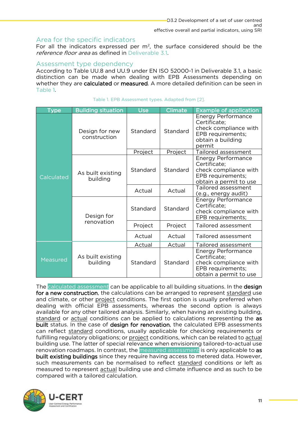<span id="page-11-0"></span>Area for the specific indicators<br>For all the indicators expressed per  $m^2$ , the surface considered should be the For all the indicators expressed per m<sub>2</sub>, the surface considered should be the *reference floor area* as defined in Deliverable 3.1.

### <span id="page-11-1"></span>Assessment type dependency

According to Table UU.8 and UU.9 under EN ISO 52000-1 in Deliverable 3.1, a basic distinction can be made when dealing with EPB Assessments depending on whether they are calculated or measured. A more detailed definition can be seen in whether they are calculated or measured. A more detailed definition can be seen in

<span id="page-11-2"></span>

| Type       | <b>Building situation</b>      | <b>Use</b> | <b>Climate</b> | <b>Example of application</b>                                                                                          |
|------------|--------------------------------|------------|----------------|------------------------------------------------------------------------------------------------------------------------|
|            | Design for new<br>construction | Standard   | Standard       | <b>Energy Performance</b><br>Certificate;<br>check compliance with<br>EPB requirements;<br>obtain a building<br>permit |
|            |                                | Project    | Project        | Tailored assessment                                                                                                    |
| Calculated | As built existing<br>building  | Standard   | Standard       | <b>Energy Performance</b><br>Certificate;<br>check compliance with<br>EPB requirements;<br>obtain a permit to use      |
|            |                                | Actual     | Actual         | Tailored assessment<br><u>(e.g., energy audit)</u>                                                                     |
|            | Design for<br>renovation       | Standard   | Standard       | <b>Energy Performance</b><br>Certificate;<br>check compliance with<br>EPB requirements;                                |
|            |                                | Project    | Project        | Tailored assessment                                                                                                    |
|            |                                | Actual     | Actual         | Tailored assessment                                                                                                    |
|            |                                | Actual     | Actual         | Tailored assessment                                                                                                    |
| Measured   | As built existing<br>building  | Standard   | Standard       | Energy Performance<br>Certificate;<br>check compliance with<br>EPB requirements;<br>obtain a permit to use             |

|  |  | Table 1. EPB Assessment types. Adapted from [2]. |  |  |
|--|--|--------------------------------------------------|--|--|

The calculated assessment can be applicable to all building situations. In the design for a new construction, the calculations can be arranged to represent standard use and climate, or other project conditions. The first option is usually preferred when dealing with official EPB assessments, whereas the second option is always available for any other tailored analysis. Similarly, when having an existing building, standard or actual conditions can be applied to calculations representing the as built status. In the case of design for renovation, the calculated EPB assessments can reflect standard conditions, usually applicable for checking requirements or fulfilling regulatory obligations; or project conditions, which can be related to actual building use. The latter of special relevance when envisioning tailored-to-actual use renovation roadmaps. In contrast, the measured assessment is only applicable to as built existing buildings since they require having access to metered data. However, such measurements can be normalised to reflect standard conditions or left as measured to represent actual building use and climate influence and as such to be measured to represent **actual** building assembled and contact to and as such to be compared with a tailored calculation.

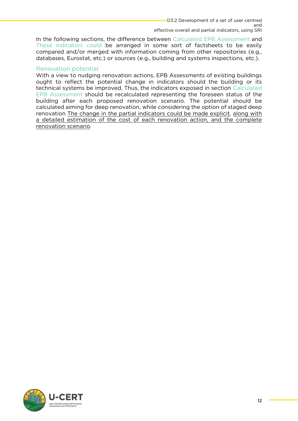effective overall and partial indicators, using SRI [In the following sections, the difference between Calculated](#page-25-1) [EPB Assessment](#page-13-0) and These indicators could be arranged in some sort of factsheets to be easily compared and/or merged with information coming from other repositories (e.g., databases. Eurostat. etc.) or sources (e.g., building and systems inspections, etc.). [databases, Eurostat, etc.\) or sources \(e.g., building and systems inspections, etc.\).](#page-25-1)

### Renovation potential

With a view to nudging renovation actions. EPB Assessments of existing buildings ought to reflect the potential change in indicators should the building or its technical systems be improved. Thus, the indicators exposed in section Calculated EPB Assessment should be recalculated representing the foreseen status of the building after each proposed renovation scenario. The potential should be calculated aiming for deep renovation, while considering the option of staged deep renovation The change in the partial indicators could be made explicit, along with a detailed estimation of the cost of each renovation action, and the complete renovation scenario. renovation scenario.

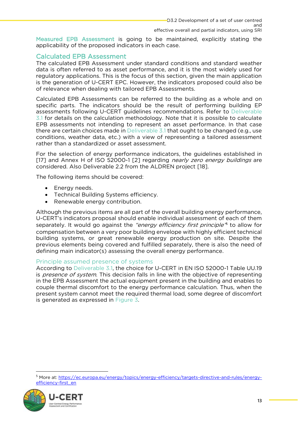[Measured EPB Assessment](#page-25-1) is going to be maintained, explicitly stating the applicability of the proposed indicators in each case. applicability of the proposed indicators in each case.

<span id="page-13-0"></span>Calculated EPB Assessment<br>The calculated EPB Assessment under standard conditions and standard weather data is often referred to as asset performance, and it is the most widely used for regulatory applications. This is the focus of this section, given the main application is the generation of U-CERT EPC. However, the indicators proposed could also be of relevance when dealing with tailored EPB Assessments. of relevance when dealing with tailored EPB Assessments.

Calculated EPB Assessments can be referred to the building as a whole and on specific parts. The indicators should be the result of performing building EP assessments following U-CERT quidelines recommendations. Refer to Deliverable 3.1 for details on the calculation methodology. Note that it is possible to calculate EPB assessments not intending to represent an asset performance. In that case there are certain choices made in Deliverable  $3.1$  that ought to be changed (e.g., use conditions, weather data, etc.) with a view of representing a tailored assessment rather than a standardized or asset assessment. rather than a standardized or asset assessment.

[17] and Annex H of ISO 52000-1 [2] regarding *nearly zero energy buildings* are considered Also Deliverable 2.2 from the ALDREN project [18] considered. Also Deliverable 2.2 from the ALDREN project  $\frac{1}{2}$ .

The following items should be covered:

- Energy needs.
- Technical Building Systems efficiency.
- Renewable energy contribution.

Although the previous items are all part of the overall building energy performance, U-CERT's indicators proposal should enable individual assessment of each of them separately. It would go against the "energy efficiency first principle" to allow for compensation between a very poor building envelope with highly efficient technical building systems, or great renewable energy production on site. Despite the previous elements being covered and fulfilled separately, there is also the need of defining main indicator(s) assessing the overall energy performance. defining main indicator(s) assessing the overall energy performance.

<span id="page-13-1"></span>Principle assumed presence of systems<br>According to Deliverable 3.1, the choice for U-CERT in EN ISO 52000-1 Table UU.19 is *presence of system*. This decision falls in line with the objective of representing<br>in the EPR Assessment the actual equipment present in the building and enables to in the EPB Assessment the actual equipment present in the building and enables to present system cannot meet the required thermal load, some degree of discomfort is generated as expressed in Figure 3. is generated as expressed in [Figure 3.](#page-14-1)

<sup>5</sup>  $M_{\rm{max}}$  at: https://ec.europa.europa.europa.europa.europa.europa.europa.europa.europa.europa.europa.europa.europa.eu

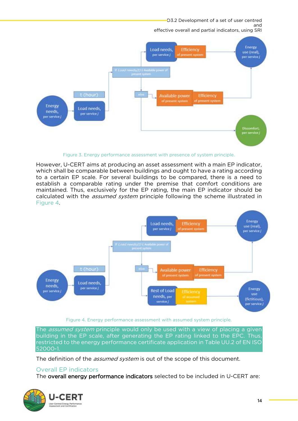D3.2 Development of a set of user centred

 $SRI$ 



Figure 3. Energy performance assessment with presence of system principle.

<span id="page-14-1"></span>However, U-CERT aims at producing an asset assessment with a main EP indicator, which shall be comparable between buildings and ought to have a rating according to a certain EP scale. For several buildings to be compared, there is a need to establish a comparable rating under the premise that comfort conditions are maintained. Thus, exclusively for the EP rating, the main EP indicator should be calculated with the *assumed system* principle following the scheme illustrated in<br>Figure 4



Figure 4. Energy performance assessment with assumed system principle.

<span id="page-14-2"></span>The *assumed system* principle would only be used with a view of placing a given<br>building in the EP scale, after generating the EP rating linked to the EPC. Thus, restricted to the energy performance certificate application in Table UU.2 of EN ISC restricted to the energy performance certificate application in Table UU.2 of EN ISO 52000-1.

The definition of the *assumed system* is out of the scope of this document.

<span id="page-14-0"></span>Overall EP indicators<br>The overall energy performance indicators selected to be included in U-CERT are: The overall energy performance indicators selected to be included in U-CERT are:

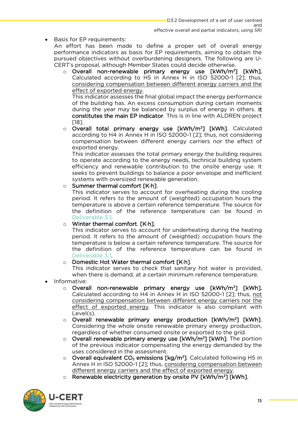Basis for EP requirements:<br>An effort has been made to define a proper set of overall energy performance indicators as basis for EP requirements, aiming to obtain the pursued objectives without overburdening designers. The following are U-CERT's proposal, although Member States could decide otherwise.

o Overall non-renewable primary energy use [kWh/m<sup>2</sup><br>Calculated according to H5 in Annex H in ISO 52000-1 Calculated according to H5 in Annex H in ISO 52000-1 [2]; thus, considering compensation between different energy carriers and the effect of exported energy.

This indicator assesses the final global impact the energy performance of the building has. An excess consumption during certain moments during the year may be balanced by surplus of energy in others. It constitutes the main EP indicator. This is in line with ALDREN project communication that main EP indicator. This is in line with ALDREN projects.<br>[18]

 $\circ$  Overall total primary energy use [kWh/m<sup>2</sup><br>according to H4 in Annex H in ISO 52000-1121 according to H4 in Annex H in ISO 52000-1 [2]; thus, not considering compensation between different energy carriers nor the effect of exported energy.

This indicator assesses the total primary energy the building requires to operate according to the energy needs, technical building system efficiency and renewable contribution to the onsite energy use. It seeks to prevent buildings to balance a poor envelope and inefficient systems with oversized renewable generation.

## o Summer thermal comfort [K·h].<br>This indicator serves to account for overheat

This indicator serves to account for overheating during the cooling period. It refers to the amount of (weighted) occupation hours the temperature is above a certain reference temperature. The source for the definition of the reference temperature can be found in Deliverable 31

## $\circ$  Winter thermal comfort. [K·h].<br>This indicator serves to account

This indicator serves to account for underheating during the heating period. It refers to the amount of (weighted) occupation hours the temperature is below a certain reference temperature. The source for the definition of the reference temperature can be found in Deliverable 3.1.

## o **Domestic Hot Water thermal comfort [K·h]**.<br>This indicator serves to check that sanital

This indicator serves to check that sanitary hot water is provided, when there is demand, at a certain minimum reference temperature. when there is demand, at a certain minimum reference temperature.

- Informative:
	- $\circ$  Overall non-renewable primary energy use [kWh/m<sup>2</sup>] [kWh]. Calculated according to H4 in Annex H in ISO 52000-1 [2]; thus, not considering compensation between different energy carriers nor the effect of exported energy. This indicator is also compliant with effect of exporter energy. This indicator is also compliant with  $\log_2$
	- o Overall renewable primary energy production [kWh/m<sup>2</sup><br>Considering the whole onsite renewable primary energy pr Considering the whole onsite renewable primary energy production, regardless of whether consumed onsite or exported to the grid.
	- $\circ$  Overall renewable primary energy use [kWh/m<sup>2</sup>] [kWh]. The p<br>of the previous indicator compensating the energy demanded b of the previous indicator compensating the energy demanded by the uses considered in the assessment.
	- O Overall equivalent  $CO<sub>2</sub>$  emissions  $[kg/m<sup>2</sup>$ <br>Annex H in ISO 52000-1121; thus consider Annex H in ISO 52000-1  $[2]$ ; thus, considering compensation between different energy carriers and the effect of exported energy.
	- o Renewable electricity generation by onsite PV [kWh/m<sup>2</sup>] [kWh].

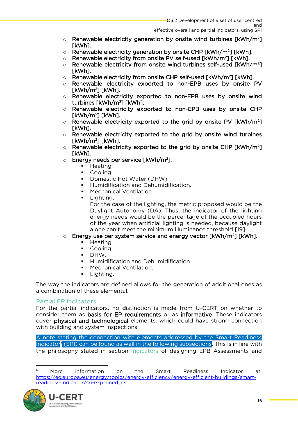- $\circ$  Renewable electricity generation by onsite wind turbines [kWh/m²]<br>[kWh]
- $\circ$  Renewable electricity generation by onsite CHP [kWh/m<sup>2</sup>]<br> $\circ$  Renewable electricity from onsite PV self-used [kWh/m<sup>2</sup>]
- o Renewable electricity from onsite PV self-used [kWh/m<sup>2</sup>] [kWh].<br>
o Renewable electricity from onsite wind turbines self-used [kWh/
- o Renewable electricity from onsite wind turbines self-used [kWh/m<sup>2</sup><br>[kWh] Ī.
- $\circ$  Renewable electricity from onsite CHP self-used [kWh/m<sup>2</sup><br> $\circ$  Renewable electricity exported to non-FPB uses by
- o Renewable electricity exported to non-EPB uses by onsite PV<br>
FkWh/m<sup>2</sup>1 FkWh1
- [kWh/m<sup>2</sup> ] [kWh]. <sup>o</sup> Renewable electricity exported to non-EPB uses by onsite wind
- turbines [kwn/m−] [kwn].<br>○ Renewable electricity exported to non-EPB uses by onsite CHP<br>『kWh/m<sup>2</sup>1 『kWh1
- [kWh/m<sup>2</sup> ] [kWh]. <sup>o</sup> Renewable electricity exported to the grid by onsite PV [kWh/m<sup>2</sup> Ī,
- $\circ$  Renewable electricity exported to the grid by onsite wind turbines<br>[kWh/m<sup>2</sup>][kWh]
- [kWh/m<sup>2</sup> ] [kWh]. <sup>o</sup> Renewable electricity exported to the grid by onsite CHP [kWh/m<sup>2</sup> ]
- o Energy needs per service [kWh/m<sup>2</sup>].
	- Heating.<br>■ Cooling
	- Cooling.<br>■ Domesti
	- Domestic Hot Water (DHW).<br>■ Humidification and Dobumidi
	- **•** Humidification and Dehumidification.<br>• Mechanical Ventilation
	- Mechanical Ventilation.<br>■ Lighting
		- Lighting.<br>For the case of the lighting, the metric proposed would be the Daylight Autonomy (DA). Thus, the indicator of the lighting energy needs would be the percentage of the occupied hours. of the year when artificial lighting is needed, because daylight alone can't meet the minimum illuminance threshold [19].

#### **Energy use per system service and energy vector**  $\frac{1}{2}$  **[kVh/m<sup>2</sup>] [kV].**  $\blacksquare$

- Heating.<br>■ Cooling
- Cooling.<br>■ DHW
- DHW.
- **•** Humidification and Dehumidification.
- **■** Mechanical Ventilation.
- Lighting.

The way the indicators are defined allows for the generation of additional ones as a combination of these elemental. a combination of these elemental.

<span id="page-16-0"></span>Partial EP indicators<br>For the partial indicators, no distinction is made from U-CERT on whether to consider them as **basis for EP requirements** or as informative. These indicators cover physical and technological elements, which could have strong connection with building and system inspections. with building and system inspections.

Indicator<sup>6</sup> (SRI) can be found as well in the following subsections. This is in line with<br>the philosophy stated in section Indicators of designing EPB. Assessments and (SRI) can be found as well in the found as well in the found as well [in the fol](#page-9-0)lowing subsections. The following subsections and the philosophy stated in section Indicators of designing EPB Assessments and

<sup>6</sup>  $M$ nre information  $tha$ Smart **Readiness** Indicator at:  $\Omega$ https://ec.europa.eu/energy/topics/energy-efficiency/energy-efficient-buildings/smartreadiness-indicator/sri-explained cs reading the control of the control of the control of the control of the control of the control of the control of the control of the control of the control of the control of the control of the control of the control of the

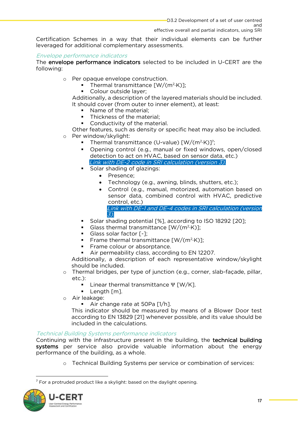$SRI$ 

effective overall and partial indicators, using SRI Certification Schemes in a way that their individual elements can be further leveraged for additional complementary assessments.

#### Envelope performance indicators

The **envelope performance indicators** selected to be included in U-CERT are the following: following:

- <sup>o</sup> Per opaque envelope construction.
	- **•** Thermal transmittance  $[W/(m^2 \cdot K)]$ ;<br>• Colour outside laver: ·K)];
		-

Additionally, a description of the layered materials should be included. It should cover (from outer to inner element), at least:

- Name of the material;<br>• Thickness of the material;
	- **Thickness of the material;**<br>Conductivity of the mater
	- Conductivity of the material.<br>Per features, such as density or s
- 
- 
- Other features, such as density or specific heat may also be included.<br>
Other window/skylight:<br>
Thermal transmittance (LI-value)  $\frac{[W/(m^2 \cdot K)]^7}{[W/(m^2 \cdot K)]^7}$ ■ Thermal transmittance (U-value) [W/(m<sup>2</sup>·K)]<sup>7</sup><br>■ Opening control (e.g., manual or fixed wind
	- Opening control (e.g., manual or fixed windows, open/closed<br>detection to act on HVAC based on sensor data etc.) Link with DE-2 code in SRI calculation (version 3).
	- Solar shading of glazings:
		- Presence;
		- Technology (e.g., awning, blinds, shutters, etc.);
		- Control (e.g., manual, motorized, automation based on control. etc.) Link with DE-1 and DE-4 codes in SRI calculation (version

3).

- Solar shading potential [%], according to ISO 18292 [20];
- Glass thermal transmittance  $\lceil W/(m^2 \cdot K) \rceil$ . ·K)];
- Glass solar factor [-]:
- **•** Frame thermal transmittance  $[W/(m^2 \cdot K)]$ ; ·K)];
- Frame colour or absorptance.
- 

■ Air permeability class, according to EN 12207.<br>Additionally, a description of each representative window/skylight should be included.

- o Thermal bridges, per type of junction (e.g., corner, slab-façade, pillar, etc.)
	- Linear thermal transmittance Ψ [W/K].<br>• Length [m]
		- Length [m].
- <sup>o</sup> Air leakage:
	-

■ Air change rate at 50Pa [1/h].<br>This indicator should be measured by means of a Blower Door test according to EN 13829 [21] whenever possible, and its value should be included in the calculations. included in the calculations.

### Technical Building Systems performance indicators

Continuing with the infrastructure present in the building, the **technical building**<br>systems per service also provide valuable information about the energy performance of the building, as a whole. performance of the building, as a whole.

<sup>o</sup> Technical Building Systems per service or combination of services:

<sup>7</sup> For a protruded product like a skylight: based on the daylight opening.

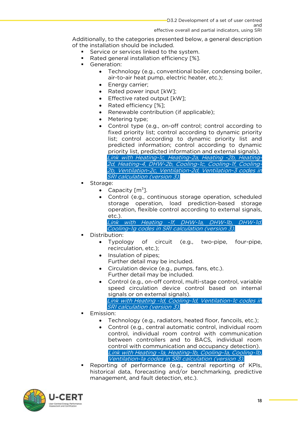Additionally, to the categories presented below, a general description<br>of the installation should be included.

- Service or services linked to the system.<br>■ Rated general installation efficiency [%]
	- Rated general installation efficiency [%].<br>■ Generation:
	- Generation:<br>Tech
		- Technology (e.g., conventional boiler, condensing boiler, air-to-air heat pump, electric heater, etc.);
		- Energy carrier;<br>• Eated power input [kW];
		- Rated power input [kW];<br>• Fffective rated output [k]
		- Effective rated output [kW];<br>• Rated efficiency [%];
		- Rated efficiency [%];
		- Renewable contribution (if applicable);
		- Metering type;<br>• Control type G
		- Control type (e.g., on-off control; control according to fixed priority list; control according to dynamic priority list; control according to dynamic priority list and predicted information; control according to dynamic priority list, predicted information and external signals). Link with Heating-1c, Heating-2a, Heating -2b, Heating-2d, Heating-4, DHW-2b, Cooling-1c, Cooling-1f, Cooling-2b, Ventilation-2c, Ventilation-2d, Ventilation-3 codes in SRI calculation (version 3).
	- Storage:<br>2.
		- Capacity  $[m^3]$ .<br>• Control (e.g.  $\mu$
		- Control (e.g., continuous storage operation, scheduled<br>storage operation load prediction-based storage storage operation, load prediction-based storage operation, flexible control according to external signals,

etc.). Link with Heating -1f, DHW-1a, DHW-1b, DHW-1d, Cooling-1g codes in SRI calculation (version 3).

- - Distribution:<br>• Typology Typology of circuit (e.g., two-pipe, four-pipe, recirculation, etc.);
		- Insulation of pipes;<br>Further detail may
		- Circulation device (e.g., pumps, fans, etc.).<br>Further detail may be included
		- Control (e.g., on-off control, multi-stage control, variable<br>speed circulation, device control, based on internal speed circulation device control based on internal signals or on external signals). Link with Heating -1d, Cooling-1d, Ventilation-1c codes in SRI calculation (version 3).
- Emission:<br>Technology
	- Technology (e.g., radiators, heated floor, fancoils, etc.);<br>• Control (e.g., central automatic control, individual room
	- Control (e.g., central automatic control, individual room control, individual room control with communication between controllers and to BACS, individual room control with communication and occupancy detection). Link with Heating -1a, Heating-1b, Cooling-1a, Cooling-1b, Ventilation-1a codes in SRI calculation (version 3).
- Reporting of performance (e.g., central reporting of KPIs, historical data, forecasting and/or benchmarking, predictive  $m$ anagement and fault detection etc. management, and fault detection, etc.).

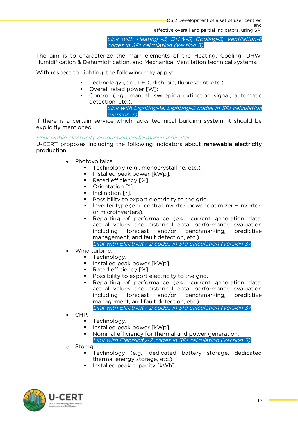effective overall and partial indicators, using SRI Link with Heating -3, DHW-3, Cooling-3, Ventilation-6 codes in SRI calculation (version 3).

The aim is to characterize the main elements of the Heating, Cooling, 2004, Humidification & Dehumidification, and Mechanical Ventilation technical systems.

 $\mathcal{L}_{\text{c}}$  respect to  $\mathcal{L}_{\text{c}}$  to  $\mathcal{L}_{\text{c}}$  may apply apply apply apply apply apply apply apply apply apply apply apply apply apply apply apply apply apply apply apply apply apply apply apply apply apply apply

- Technology (e.g., LED, dichroic, fluorescent, etc.).
- Overall rated power [W];
- Control (e.g., manual, sweeping extinction signal, automatic detection etc.).

Link with Lighting-1a, Lighting-2 codes in SRI calculation (version 3).

If there is a certain service which lacks technical building system, it should be explicitly mentioned. explicitly mentioned.

### Renewable electricity production performance indicators

U-CERT proposes including the following indicators about renewable electricity production. production.

- Photovoltaics:
	- Technology (e.g., monocrystalline, etc.).<br>■ Installed peak nower [kWn]
	- Installed peak power [kWp].
	- Rated efficiency [%].
	- Orientation [°].
	- Inclination [°].
	- Possibility to export electricity to the grid.
	- Inverter type (e.g., central inverter, power optimizer + inverter, or microinverters).
	- Reporting of performance (e.g., current generation data,<br>Actual values and historical data performance evaluation actual values and historical data, performance evaluation<br>including forecast and/or benchmarking, predictive management, and fault detection, etc.).

Link with Electricity-2 codes in SRI calculation (version 3).

- Wind turbine:
	- **•** Technology.
	- Installed peak power [kWp].
	- Rated efficiency [%].<br>■ Possibility to export
	- Possibility to export electricity to the grid.<br>■ Reporting of performance (e.g., current
	- Reporting of performance (e.g., current generation data, actual values and historical data, performance evaluation including forecast and/or benchmarking, predictive management, and fault detection, etc.).
		- Link with Electricity-2 codes in SRI calculation (version 3).
- CHP:
	- Technology.
	- Installed peak power [kWp].
	- Nominal efficiency for thermal and power generation. Link with Electricity-2 codes in SRI calculation (version 3).
- <sup>o</sup> Storage:
	- Technology (e.g., dedicated battery storage, dedicated thermal energy storage, etc.).
	- Installed peak capacity [kWh].

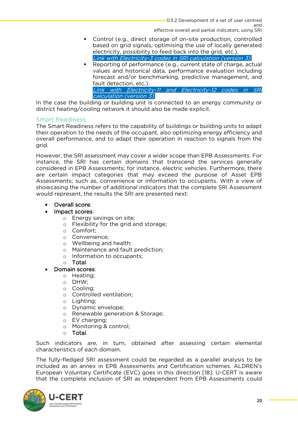- Control (e.g., direct storage of on-site production, controlled based on grid signals, optimising the use of locally generated electricity, possibility to feed back into the grid, etc.). Link with Electricity-3 codes in SRI calculation (version 3).
- Reporting of performance (e.g., current state of charge, actual values and historical data, performance evaluation including forecast and/or benchmarking, predictive management, and fault detection, etc.). Link with Electricity-11 and Electricity-12 codes in SRI calculation (version 3).

In the case the building or building unit is connected to an energy community or district heating/cooling network it should also be made explicit. district heating/cooling network it should also be made explicit.

<span id="page-20-0"></span>Smart Readiness<br>The Smart Readiness refers to the capability of buildings or building units to adapt their operation to the needs of the occupant, also optimizing energy efficiency and the needs overall performance and to adapt their operation in reaction to signals from the overall performance, and to adapt their operation in reaction to signals from the grid.

However, the SRI assessment may cover a wider scope than EPB Assessments. For instance, the SRI has certain domains that transcend the services generally considered in EPB Assessments; for instance, electric vehicles. Furthermore, there are certain impact categories that may exceed the purpose of Asset EPB Assessments; such as, convenience or information to occupants. With a view of showcasing the number of additional indicators that the complete SRI Assessment would represent, the results the SRI are presented next: where  $\mathcal{L}_{\mathbf{p}}$  are presented next: the SRI are presented next:

## • Overall score.<br>• Impact scores

### Impact scores:

- <sup>o</sup> Energy savings on site;
- <sup>o</sup> Flexibility for the grid and storage;
- <sup>o</sup> Comfort;
- <sup>o</sup> Convenience;
- o Wellbeing and health;<br>
o Maintenance and fault
- Maintenance and fault prediction:
- <sup>o</sup> Information to occupants;
- <sup>o</sup> Total.
- Domain scores:
	- <sup>o</sup> Heating;
	- <sup>o</sup> DHW;
	-
	- o Cooling;<br>o Controlle Controlled ventilation;
	- <sup>o</sup> Lighting;
	- <sup>o</sup> Dynamic envelope;
	- <sup>o</sup> Renewable generation & Storage;
	- <sup>o</sup> EV charging;
	- <sup>o</sup> Monitoring & control;
	-

o **Total.**<br>Such indicators are, in turn, obtained after assessing certain elemental characteristics of each domain. characteristics of each domain.

The fully-fledged SRI assessment could be regarded as a parallel analysis to be included as an annex in EPB Assessments and Certification schemes. ALDREN's European Voluntary Certificate (EVC) goes in this direction [18]. U-CERT is aware European Veluminary Certificate (EVC) goes in this anceston [18]. U-CERT is among that the complete inclusion of SRI as independent from EPB Assessments could

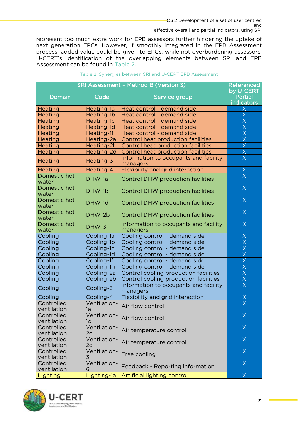effective overall and partial indicators, using SRI represent too much extra work for EPB assessors further hindering the uptake of next generation EPCs. However, if smoothly integrated in the EPB Assessment process, added value could be given to EPCs, while not overburdening assessors. U-CERT's identification of the overlapping elements between SRI and EPB Assessment can be found in Table 2. Assessment can be found in [Table 2.](#page-21-0)

<span id="page-21-0"></span>

| SRI Assessment - Method B (Version 3)<br><b>Referenced</b> |                    |                                                   |                                    |  |
|------------------------------------------------------------|--------------------|---------------------------------------------------|------------------------------------|--|
| Domain                                                     | Code               | Service group                                     | by U-CERT<br>Partial<br>indicators |  |
| <b>Heating</b>                                             | Heating-1a         | Heat control - demand side                        | Χ                                  |  |
| <b>Heating</b>                                             | Heating-1b         | Heat control - demand side                        | $\overline{\mathsf{X}}$            |  |
| <b>Heating</b>                                             | Heating-1c         | Heat control - demand side                        | X                                  |  |
| <b>Heating</b>                                             | Heating-1d         | Heat control - demand side                        | $\overline{\mathsf{X}}$            |  |
| <b>Heating</b>                                             | Heating-1f         | Heat control - demand side                        | $\overline{\mathsf{X}}$            |  |
| <b>Heating</b>                                             | Heating-2a         | Control heat production facilities                | $\overline{\mathsf{x}}$            |  |
| <b>Heating</b>                                             | Heating-2b         | Control heat production facilities                | $\overline{\mathsf{x}}$            |  |
| <b>Heating</b>                                             | Heating-2d         | Control heat production facilities                | $\overline{\mathsf{x}}$            |  |
| <b>Heating</b>                                             | Heating-3          | Information to occupants and facility<br>managers | $\overline{\mathsf{x}}$            |  |
| <b>Heating</b>                                             | Heating-4          | Flexibility and grid interaction                  | $\frac{X}{X}$                      |  |
| Domestic hot<br>water                                      | DHW-1a             | <b>Control DHW production facilities</b>          |                                    |  |
| Domestic hot<br>water                                      | DHW-1b             | <b>Control DHW production facilities</b>          | $\times$                           |  |
| Domestic hot<br>water                                      | DHW-1d             | <b>Control DHW production facilities</b>          | $\times$                           |  |
| Domestic hot<br>water                                      | DHW-2b             | <b>Control DHW production facilities</b>          | $\times$                           |  |
| Domestic hot<br>water                                      | DHW-3              | Information to occupants and facility<br>managers | $\times$                           |  |
| Cooling                                                    | Cooling-1a         | Cooling control - demand side                     | X                                  |  |
| Cooling                                                    | Cooling-1b         | Cooling control - demand side                     | $\overline{\mathsf{X}}$            |  |
| Cooling                                                    | Cooling-1c         | Cooling control - demand side                     | $\overline{\mathsf{X}}$            |  |
| Cooling                                                    | Cooling-1d         | Cooling control - demand side                     | $\overline{\mathsf{X}}$            |  |
| Cooling                                                    | Cooling-1f         | Cooling control - demand side                     | $\overline{\mathsf{X}}$            |  |
| Cooling                                                    | Cooling-1g         | Cooling control - demand side                     | X                                  |  |
| Cooling                                                    | Cooling-2a         | Control cooling production facilities             | $\overline{\mathsf{X}}$            |  |
| Cooling                                                    | Cooling-2b         | Control cooling production facilities             | $\overline{\mathsf{X}}$            |  |
| Cooling                                                    | Cooling-3          | Information to occupants and facility<br>managers | $\overline{\mathsf{X}}$            |  |
| Cooling                                                    | Cooling-4          | Flexibility and grid interaction                  | Χ                                  |  |
| Controlled<br>ventilation                                  | Ventilation-<br>1a | Air flow control                                  | $\overline{\mathsf{x}}$            |  |
| Controlled<br>ventilation                                  | Ventilation-<br>1c | Air flow control                                  | $\sf X$                            |  |
| Controlled                                                 | Ventilation-       |                                                   | $\times$                           |  |
| ventilation                                                | 2 <sub>c</sub>     | Air temperature control                           |                                    |  |
| Controlled                                                 | Ventilation-       |                                                   | $\times$                           |  |
| ventilation                                                | 2d                 | Air temperature control                           |                                    |  |
| Controlled                                                 | Ventilation-       |                                                   | $\times$                           |  |
| ventilation                                                | 3                  | Free cooling                                      |                                    |  |
| Controlled                                                 | Ventilation-       | Feedback - Reporting information                  | $\times$                           |  |
| ventilation                                                | 6                  |                                                   |                                    |  |
| Lighting                                                   | Lighting-1a        | <b>Artificial lighting control</b>                | $\overline{\mathsf{X}}$            |  |

Table 2. Synergies between SRI and U-CERT EPB Assessment

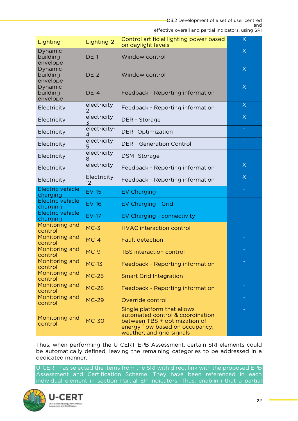| Lighting                        | Lighting-2         | Control artificial lighting power based<br>on daylight levels                                                                                                    | $\sf{X}$ |
|---------------------------------|--------------------|------------------------------------------------------------------------------------------------------------------------------------------------------------------|----------|
| Dynamic<br>building<br>envelope | $DE-1$             | Window control                                                                                                                                                   | $\times$ |
| Dynamic<br>building<br>envelope | $DE-2$             | Window control                                                                                                                                                   | $\times$ |
| Dynamic<br>building<br>envelope | $DE-4$             | Feedback - Reporting information                                                                                                                                 | $\times$ |
| Electricity                     | electricity-<br>2  | Feedback - Reporting information                                                                                                                                 | $\sf X$  |
| Electricity                     | electricity-<br>3  | DER - Storage                                                                                                                                                    | $\sf X$  |
| Electricity                     | electricity-<br>4  | <b>DER-Optimization</b>                                                                                                                                          |          |
| Electricity                     | electricity-<br>5  | <b>DER - Generation Control</b>                                                                                                                                  |          |
| Electricity                     | electricity-<br>8  | DSM-Storage                                                                                                                                                      |          |
| Electricity                     | electricity-<br>11 | Feedback - Reporting information                                                                                                                                 | $\times$ |
| Electricity                     | Electricity-<br>12 | Feedback - Reporting information                                                                                                                                 | $\times$ |
| Electric vehicle<br>charging    | $EV-15$            | <b>EV Charging</b>                                                                                                                                               |          |
| Electric vehicle<br>charging    | $EV-16$            | <b>EV Charging - Grid</b>                                                                                                                                        |          |
| Electric vehicle<br>charging    | <b>EV-17</b>       | EV Charging - connectivity                                                                                                                                       |          |
| Monitoring and<br>control       | $MC-3$             | <b>HVAC</b> interaction control                                                                                                                                  |          |
| Monitoring and<br>control       | $MC-4$             | <b>Fault detection</b>                                                                                                                                           |          |
| Monitoring and<br>control       | $MC-9$             | <b>TBS interaction control</b>                                                                                                                                   |          |
| Monitoring and<br>control       | <b>MC-13</b>       | Feedback - Reporting information                                                                                                                                 |          |
| Monitoring and<br>control       | $MC-25$            | <b>Smart Grid Integration</b>                                                                                                                                    |          |
| Monitoring and<br>control       | <b>MC-28</b>       | Feedback - Reporting information                                                                                                                                 |          |
| Monitoring and<br>control       | <b>MC-29</b>       | Override control                                                                                                                                                 |          |
| Monitoring and<br>control       | <b>MC-30</b>       | Single platform that allows<br>automated control & coordination<br>between TBS + optimization of<br>energy flow based on occupancy,<br>weather, and grid signals |          |

The automatically defined leaving the remaining categories to be addressed in a be automatical manner. Leaving the remaining categories to be added. The remaining categories to be addressed in a set of  $\sigma$ dedicated manner.

U-CERT has selected the items from the SRI with direct link with the proposed EPB<br>Assessment and Certification Scheme. They have been referenced in each individual element in section Partial FP indicators. Thus enabling that a partial individual element in section Partial EP indicators. Thus, enabling that a partial

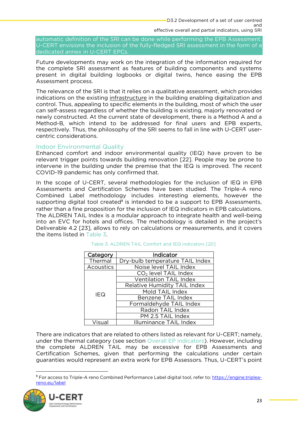effective overall and partial indicators, using SRI automatic definition of the SRI can be done while performing the EPB Assessment.<br>U-CERT envisions the inclusion of the fully-fledged SRI assessment in the form of a dedicated annex in U-CERT EPCs.

dedicated annex in U-CERT EPCs. Future developments may work on the integration of the information required for the complete SRI assessment as features of building components and systems present in digital building logbooks or digital twins, hence easing the EPB Assessment process. Assessment process.

The relevance of the SRI is that it relies on a qualitative assessment, which provides indications on the existing infrastructure in the building enabling digitalization and control. Thus, appealing to specific elements in the building, most of which the user can self-assess regardless of whether the building is existing, majorly renovated or newly constructed. At the current state of development, there is a Method A and a Method-B, which intend to be addressed for final users and EPB experts, respectively. Thus, the philosophy of the SRI seems to fall in line with U-CERT usercentric considerations. centric considerations.

<span id="page-23-0"></span>Indoor Environmental Quality<br>Enhanced comfort and indoor environmental quality (IEQ) have proven to be relevant trigger points towards building renovation [22]. People may be prone to intervene in the building under the premise that the IEQ is improved. The recent COVID-19 pandemic has only confirmed that. Covid-19 pandemic has only confirmed that the confirmed that  $\mathbf{y}$  confirmed that  $\mathbf{y}$ 

In the scope of U-CERT, several methodologies for the inclusion of IEQ in EPB<br>Assessments and Certification Schemes have been studied. The Triple-A reno Combined Label methodology includes interesting elements, however the supporting digital tool created<sup>8</sup> is intended to be a support to EPB Assessments, rather than a fine proposition for the inclusion of IEO indicators in EPB calculations. rather than a fine proposition for the inclusion of IEQ indicators in EPB calculations. The ALDREN TAIL Index is a modular approach to integrate health and well-being into an EVC for hotels and offices. The methodology is detailed in the project's Deliverable 4.2 [23], allows to rely on calculations or measurements, and it covers the items listed in Table  $3$ . the items listed in [Table 3.](#page-23-1)

<span id="page-23-1"></span>

| Indicator                        |
|----------------------------------|
| Dry-bulb temperature TAIL Index  |
| Noise level TAIL Index           |
| CO <sub>2</sub> level TAIL Index |
| <b>Ventilation TAIL Index</b>    |
| Relative Humidity TAIL Index     |
| Mold TAIL Index                  |
| Benzene TAIL Index               |
| Formaldehyde TAIL Index          |
| Radon TAIL Index                 |
| PM 2.5 TAIL Index                |
| Illuminance TAIL Index           |
|                                  |

## Table 3. ALDREN TAIL Comfort and IEQ indicators [20]

There are indicators that are related to o[thers listed as relevant](#page-14-0) for U-CERT; namely, under the thermal category (see section Overall EP indicators). However, including the complete ALDREN TAIL may be excessive for EPB Assessments and Certification Schemes, given that performing the calculations under certain quaranties would represent an extra work for EPB Assessors. Thus, U-CERT's point  $\mathcal{G}$  and the strainties would represent an extra work for EPB Assessors. Thus, U-CERT's point  $\mathcal{G}$ 

<sup>8</sup> [For access to](https://engine.triplea-reno.eu/label) Triple-A reno Combined Performance Label digital tool, refer to: <u>https://engine.triplea-</u><br>engine.tri/label

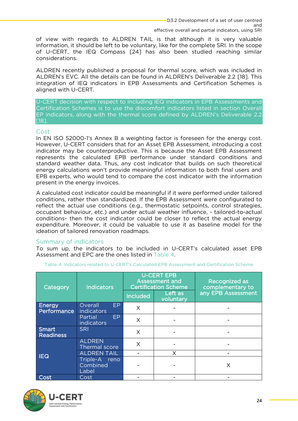effective overall and partial indicators, using SRI of view with regards to ALDREN TAIL is that although it is very valuable information, it should be left to be voluntary, like for the complete SRI. In the scope of U-CERT, the IEQ Compass [24] has also been studied reaching similar considerations.

ALDREN recently published a proposal for thermal score, which was included in ALDREN's EVC. All the details can be found in ALDREN's Deliverable 2.2 [18]. This integration of IEQ indicators in EPB Assessments and Certification Schemes is aligned with U-CERT. aligned with U-CERT.

U-CERT decision with respect to including IEQ indicators in EPB Assessm[ents and](#page-14-0)  EP indicators, along with the thermal score defined by ALDREN's Deliverable 2.2 EP indicators, along with the thermal score defined by ALDREN's Deliverable 2.2 [18].

### <span id="page-24-0"></span>Cost

In EN ISO 52000-1's Annex B a weighting factor is foreseen for the energy cost. However, U-CERT considers that for an Asset EPB Assessment, introducing a cost. indicator may be counterproductive. This is because the Asset EPB Assessment represents the calculated EPB performance under standard conditions and standard weather data. Thus, any cost indicator that builds on such theoretical energy calculations won't provide meaningful information to both final users and EPB experts, who would tend to compare the cost indicator with the information  $R = \frac{1}{2}$  experts, who would the contract in the contractor with the contractor with the internal the internal the internal theorem in the internal theorem in the internal tender of the internal tender of the internal t present in the energy invoices.

A calculated cost indicator could be meaningful if it were performed under tailored reflect the actual use conditions (e.g., thermostatic setpoints, control strategies, occupant behaviour, etc.) and under actual weather influence, - tailored-to-actual conditions- then the cost indicator could be closer to reflect the actual energy expenditure. Moreover, it could be valuable to use it as baseline model for the ideation of tailored renovation roadmaps. ideation of tailored renovation roadmaps.

<span id="page-24-1"></span>Summary of indicators<br>To sum up, the indicators to be included in U-CERT's calculated asset EPB Assessment and EPC are the ones listed in Table 4.

| Category              | <b>U-CERT EPB</b><br><b>Assessment and</b><br><b>Certification Scheme</b><br><b>Indicators</b><br>Left as<br>Included<br>voluntary |   | <b>Recognized as</b><br>complementary to<br>any EPB Assessment |   |
|-----------------------|------------------------------------------------------------------------------------------------------------------------------------|---|----------------------------------------------------------------|---|
| Energy<br>Performance | Overall<br>EP<br>indicators                                                                                                        | X |                                                                |   |
|                       | EP<br>Partial<br>indicators                                                                                                        | X |                                                                |   |
| Smart<br>Readiness    | <b>SRI</b>                                                                                                                         | X |                                                                |   |
|                       | <b>ALDREN</b><br>Thermal score                                                                                                     | X |                                                                |   |
|                       | <b>ALDREN TAIL</b>                                                                                                                 |   |                                                                |   |
| <b>IEQ</b>            | Triple-A<br>reno<br>Combined<br>Label                                                                                              |   |                                                                | Χ |
| Cost                  | Cost                                                                                                                               |   |                                                                |   |
|                       |                                                                                                                                    |   |                                                                |   |

<span id="page-24-2"></span>Assessment and EPC are the ones listed in [Table 4.](#page-24-2) Table 4. Indicators related to U-CERT's Calculated EPB Assessment and Certification Scheme



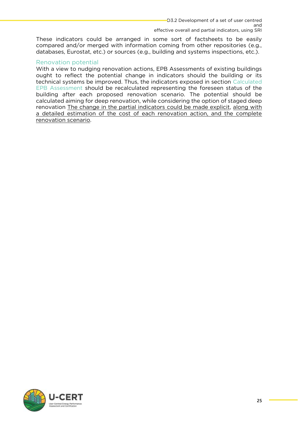<span id="page-25-1"></span>effective overall and partial indicators, using SRI These indicators could be arranged in some sort of factsheets to be easily compared and/or merged with information coming from other repositories (e.g., databases, Eurostat, etc.) or sources (e.g., building and systems inspections, etc.). databases, Eurostat, etc.) or sources (e.g., building and systems inspections, etc.).

<span id="page-25-0"></span>Renovation potential<br>With a view to nudging renovation actions. EPB Assessments of existing buildings ought to reflect the potential change in indicators should the building or its technical systems be improved. Thus, the indicators exposed in section Calculated EPB Assessment should be recalculated representing the foreseen status of the building after each proposed renovation scenario. The potential should be calculated aiming for deep renovation, while considering the option of staged deep renovation The change in the partial indicators could be made explicit, along with a detailed estimation of the cost of each renovation action and the complete <u>a detailed estimation of the cost of the cost of the cost of the complete position</u>, and the complete complete the complete the complete the complete the complete the complete the contribution scientists of the complete t renovation scenario.

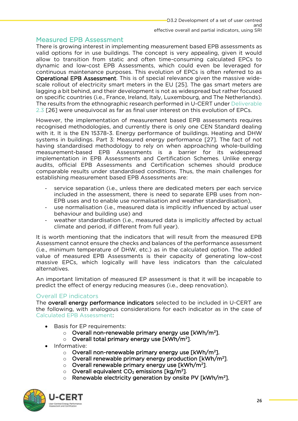<span id="page-26-0"></span>Measured EPB Assessment<br>There is growing interest in implementing measurement based EPB assessments as valid options for in use buildings. The concept is very appealing, given it would allow to transition from static and often time-consuming calculated EPCs to dynamic and low-cost EPB Assessments, which could even be leveraged for continuous maintenance purposes. This evolution of EPCs is often referred to as **Operational EPB Assessment**. This is of special relevance given the massive widescale rollout of electricity smart meters in the EU [25]. The gas smart meters are lagging a bit behind, and their development is not as widespread but rather focused on specific countries (i.e., France, Ireland, Italy, Luxembourg, and The Netherlands). The results from the ethnographic research performed in U-CERT under Deliverable The results from the ethnographic research performed in U-CERT under Democratic results for the ethnology of  $\overline{P}$ 2.3 [26] were unequivocal as far as final user interest on this evolution of EPCs.

However, the implementation of measurement based EPB assessments requires recognised methodologies, and currently there is only one CEN Standard dealing with it. It is the EN 15378-3. Energy performance of buildings. Heating and DHW systems in buildings. Part 3: Measured energy performance [27]. The fact of not having standardised methodology to rely on when approaching whole-building measurement-based EPB Assessments is a barrier for its widespread implementation in EPB Assessments and Certification Schemes. Unlike energy audits, official EPB Assessments and Certification schemes should produce comparable results under standardised conditions. Thus, the main challenges for comparable results under the main conditions of the main change of the main challenges for the main challenges for the main challenges for the main challenges for the main challenges for the main challenges for the main ch establishing measurement based EPB Assessments are:

- service separation (i.e., unless there are dedicated meters per each service included in the assessment, there is need to separate EPB uses from non-EPB uses and to enable use normalisation and weather standardisation).
- FR ENDING USE USE USE IN THE USE OF ENGLISHMENT CONTROL CONTROL INCOMENDATIONS,<br>the normalisation (i.e., measured data is implicitly influenced by actual user<br>hehaviour and building use) and
- behavior and building use of the standardisation (i.e., measured data is implicitly affected by actual<br>climate and period if different from full year) climate and period, if different from full year).

It is worth mentioning that the indicators that will result from the measured EPB<br>Assessment cannot ensure the checks and balances of the performance assessment (i.e., minimum temperature of DHW, etc.) as in the calculated option. The added value of measured EPB Assessments is their capacity of generating low-cost massive EPCs, which logically will have less indicators than the calculated mative EPCs, which logically will have less indicators that the calculated than the calculated state of the calculated state  $\frac{1}{2}$ alternatives.

and interest in the effect of energy reducing measures (i.e. deep renovation) predict the effect of energy reducing measures (i.e., deep renovation).

### <span id="page-26-1"></span>**Overall FP indicators**

The overall energy performance indicators selected to be included in U-CERT are the following, with analogous considerations for each indicator as in the case of Calculated EPB Assessment:

- Basis for EP requirements:
	- Overall non-renewable primary energy use [kWh/m²].<br>○ Overall total primary energy use [kWh/m²]
	- Overall total primary energy use [kWh/m²].<br>›rmative:
- Informative:
	- $\circ$  Overall non-renewable primary energy use [kWh/m<sup>2</sup>].
	- o Overall renewable primary energy production [kWh/m<sup>2</sup><br>
	o Overall renewable primary energy use [kWh/m<sup>2</sup>] ].
	- Overall renewable primary energy use [kWh/m²].<br>○ Overall equivalent CO- emissions [kg/m²]
	- $\circ$  Overall equivalent CO<sub>2</sub> emissions [kg/m<sup>2</sup>].<br> $\circ$  Renewable electricity generation by onsite
	- o Renewable electricity generation by onsite PV [kWh/m<sup>2</sup>].

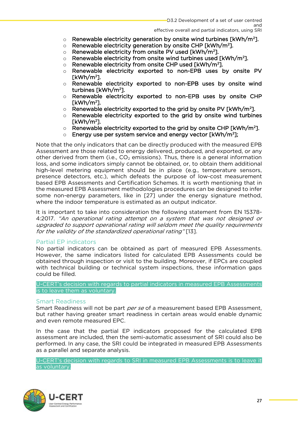#### $SRI$

- effective overall and partial indicators, using SRI ○ Renewable electricity generation by onsite wind turbines [kWh/m²].<br>○ Renewable electricity generation by onsite CHP [kWh/m²]
- Renewable electricity generation by onsite CHP [kWh/m²].<br>○ Renewable electricity from onsite PV used [kWh/m²]
- $\circ$  Renewable electricity from onsite PV used [kWh/m<sup>2</sup>].<br> $\circ$  Renewable electricity from onsite wind turbines used
- $\circ$  Renewable electricity from onsite wind turbines used [kWh/m<sup>2</sup><br>  $\circ$  Renewable electricity from onsite CHP used [kWh/m<sup>2</sup>] ].
- $\circ$  Renewable electricity from onsite CHP used [kWh/m<sup>2</sup>].<br> $\circ$  Renewable electricity exported to non-EPB uses l
- o Renewable electricity exported to non-EPB uses by onsite PV<br>
FkWh/m<sup>2</sup>1
- [kWh/m<sup>2</sup> ]. <sup>o</sup> Renewable electricity exported to non-EPB uses by onsite wind
- turbines [kWh/m<sup>2</sup> ]. <sup>o</sup> Renewable electricity exported to non-EPB uses by onsite CHP
- [kWh/m<sup>2</sup> ]. <sup>o</sup> Renewable electricity exported to the grid by onsite PV [kWh/m<sup>2</sup>
- Renewable electricity exported to the grid by onsite wind turbines<br>
FkWh/m<sup>2</sup>1
- [kWh/m<sup>2</sup> ]. <sup>o</sup> Renewable electricity exported to the grid by onsite CHP [kWh/m<sup>2</sup> ].
- ];

 $\circ$  Energy use per system service and energy vector [kWh/m<sup>2</sup>];<br>Note that the only indicators that can be directly produced with the measured EPB Assessment are those related to energy delivered, produced, and exported, or any other derived from them (i.e.,  $CO<sub>2</sub>$  emissions). Thus, there is a general information loss, and some indicators simply cannot be obtained, or, to obtain them additional high-level metering equipment should be in place (e.g., temperature sensors, presence detectors, etc.), which defeats the purpose of low-cost measurement based EPB Assessments and Certification Schemes. It is worth mentioning that in the measured EPB Assessment methodologies procedures can be designed to infer some non-energy parameters, like in [27] under the energy signature method, where the indoor temperature is estimated as an output indicator.

It is important to take into consideration the following statement from EN 15378-A:2017. "An operational rating attempt on a system that was not designed or<br>ungraded to support operational rating will seldom meet the quality requirements upgraded to support operational rating will seldom meet the quality requirements for the validity of the standardized operational rating" [13].

<span id="page-27-0"></span>Partial EP indicators<br>No partial indicators can be obtained as part of measured EPB Assessments. However, the same indicators listed for calculated EPB Assessments could be obtained through inspection or visit to the building. Moreover, if EPCs are coupled with technical building or technical system inspections, these information gaps could be filled. could be filled.

U-CERT's decision with regards to partial indicators in measured EPB Assessments<br>is to leave them as voluntary. is to leave them as voluntary.

### <span id="page-27-1"></span>**Smart Readiness**

Smart Readiness will not be part *per se* of a measurement based EPB Assessment, but rather having greater smart readiness in certain areas would enable dynamic and even remote measured EPC. and even remote measured EPC.

In the case that the partial EP indicators proposed for the calculated EPB assessment are included, then the semi-automatic assessment of SRI could also be performed. In any case, the SRI could be integrated in measured EPB Assessments as a parallel and separate analysis. as a parallel and separate analysis.

U-CERT's decision with regards to SRI in measured EPB Assessments in measured EPB Assessments in the leave it<br>As voluntary as voluntary.

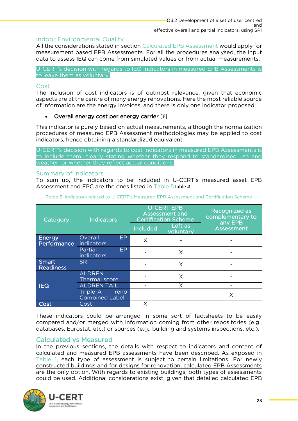<span id="page-28-0"></span>Indoor Environmental Quality<br>All the considerations stated in section Calculated EPB Assessment would apply for measurement based [EPB Assessment](#page-13-0)s. For all the procedures analysed, the input data to assess IEQ can come from simulated values or from actual measurements. data to assess IEQ can come from simulated values or from actual measurements.

to leave them as voluntary. to leave them as voluntary.

### <span id="page-28-1"></span> $Cost$

The inclusion of cost indicators is of outmost relevance, given that economic aspects are at the centre of many energy renovations. Here the most reliable source aspects are at the centre of many energy renovations. Here the most reliable source.<br>Of information are the energy invoices, and there is only one indicator proposed: of information are the energy invoices, and there is only one indicator proposed:

### • Overall energy cost per energy carrier  $\varepsilon$ .

This indicator is purely based on **actual measurements**, although the normalization procedures of measured EPB Assessment methodologies may be applied to cost indicators, hence obtaining a standardized equivalent. indicators, hence obtaining a standardized equivalent.

U-CERT's decision with regards to cost indicators in measured EPB Assessments is<br>to include them, clearly stating whether they respond to standardised use and weather, or whether they reflect actual conditions. weather, or whether they reflect actual conditions.

<span id="page-28-2"></span>Summary of indicators<br>To sum up, the indicators to be included in U-CERT's measured asset EPB To sum up, the indicators to be included in U-CERT's measured asset EPB Assessment and EPC are the ones listed in [Table 5](#page-28-4)[Table](#page-24-2) *4*.

<span id="page-28-4"></span>

| Category              | <b>Indicators</b>                         | <b>U-CERT EPB</b><br><b>Assessment and</b><br><b>Certification Scheme</b> |                      | <b>Recognized as</b><br>complementary to<br>any EPB |
|-----------------------|-------------------------------------------|---------------------------------------------------------------------------|----------------------|-----------------------------------------------------|
|                       |                                           | <b>Included</b>                                                           | Left as<br>voluntary | <b>Assessment</b>                                   |
| Energy<br>Performance | Overall<br>EP.<br>indicators              | Χ                                                                         |                      |                                                     |
|                       | EP.<br>Partial<br>indicators              |                                                                           | X                    |                                                     |
| Smart<br>Readiness    | <b>SRI</b>                                |                                                                           | X                    |                                                     |
|                       | <b>ALDREN</b><br><b>Thermal score</b>     |                                                                           | X                    |                                                     |
| <b>IEQ</b>            | <b>ALDREN TAIL</b>                        |                                                                           |                      |                                                     |
|                       | Triple-A<br>reno<br><b>Combined Label</b> |                                                                           |                      | Χ                                                   |
| Cost                  | Cost                                      | Χ                                                                         |                      |                                                     |
|                       |                                           |                                                                           |                      |                                                     |

Table 5. Indicators related to U-CERT's Measured EPB Assessment and Certification Scheme

These indicators could be arranged in some sort of factsheets to be easily compared and/or merged with information coming from other repositories (e.g., compared and, or merged manufactured coming members repositories (e.g., and the merged with information of the databases, Eurostat, etc.) or sources (e.g., building and systems inspections, etc.).

### <span id="page-28-3"></span>**Calculated vs Measured**

In the previous sections, the details with respect to indicators and content of calculated and measured EPB assessments have been described. As exposed in Table 1, each type of assessment is subject to certain limitations. For newly constructed buildings and for designs for renovation, calculated EPB Assessments. are the only option. With regards to existing buildings, both types of assessments are the only option. With regards to exist the only of the only of the use of a could be used. Additional considerations exist to wen that detailed calculated FPR could be used. Additional constraints exist, given that detailed <u>considerations in</u>

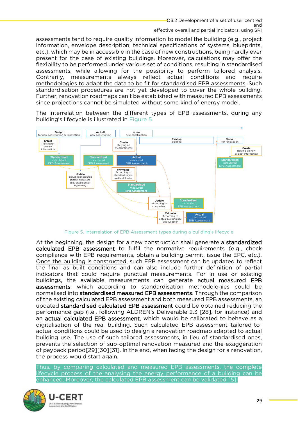effective overall and partial indicators, using SRI assessments tend to require quality information to model the building (e.g., project information, envelope description, technical specifications of systems, blueprints, etc.), which may be in accessible in the case of new constructions, being hardly ever present for the case of existing buildings. Moreover, calculations may offer the flexibility to be performed under various set of conditions, resulting in standardised assessments, while allowing for the possibility to perform tailored analysis. Contrarily, measurements always reflect actual conditions and require methodologies to adapt the data to be fit for standardised EPB assessments. Such standardisation procedures are not yet developed to cover the whole building. Further, renovation roadmaps can't be established with measured EPB assessments. since projections cannot be simulated without some kind of energy model. since projections cannot be simulated without some kind of energy model.

The interrelation between the different types of EPB assessments, during any building's lifecycle is illustrated in Figure 5.



Figure 5. Interrelation of EPB Assessment types during a building's lifecycle

<span id="page-29-0"></span>At the beginning, the design for a new construction shall generate a **standardized calculated EPB assessment** to fulfil the normative requirements (e.g., check compliance with EPB requirements, obtain a building permit, issue the EPC, etc.). Once the building is constructed, such EPB assessment can be updated to reflect the final as built conditions and can also include further definition of partial indicators that could require punctual measurements. For in use or existing buildings, the available measurements can generate **actual measured EPB** assessments, which according to standardisation methodologies could be normalised into standardised measured EPB assessments. Through the comparison of the existing calculated EPB assessment and both measured EPB assessments, an updated **standardised calculated EPB assessment** could be obtained reducing the performance gap (i.e., following ALDREN's Deliverable 2.3 [28], for instance) and an actual calculated EPB assessment, which would be calibrated to behave as a digitalisation of the real building. Such calculated EPB assessment tailored-toactual conditions could be used to design a renovation roadmap adapted to actual building use. The use of such tailored assessments, in lieu of standardised ones, prevents the selection of sub-optimal renovation measured and the exaggeration of payback period  $[29][30][31]$ . In the end, when facing the design for a renovation, of payback period<sub>[29][31]</sub>. In the end, much facing the <u>design for a renovation</u>, the process would start again.

Thus, by comparing calculated and measured EPB assessments, the complete<br>lifecycle process of the analysing the energy performance of a building can be enhanced. Moreover, the calculated EPB assessment can be validated [5]. enhanced. Moreover, the calculated  $\equiv$   $\pm$  assessment can be validated  $\lfloor$ 5].

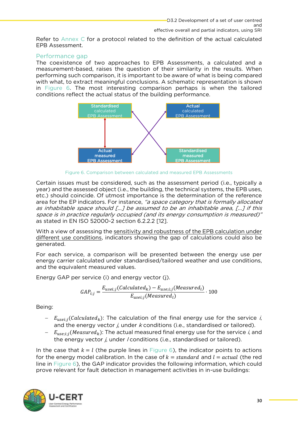Refer to [Annex C](#page-47-0) for a protocol related to the definition of the actual calculated FPB Assessment.

### <span id="page-30-0"></span>Performance gap

The coexistence of two approaches to EPB Assessments, a calculated and a measurement-based, raises the question of their similarity in the results. When performing such comparison, it is important to be aware of what is being compared with what, to extract meaning ful conclusions. A schematic representation is shown in Figure 6. The most interesting comparison perhaps is when the tailored  $\frac{1}{2}$  conditions reflect the actual status of the building performance



Figure 6. Comparison between calculated and measured EPB Assessments

<span id="page-30-1"></span>Certain issues must be considered, such as the assessment period (i.e., typically a year) and the assessed object (i.e., the building, the technical systems, the EPB uses, etc.) should coincide. Of utmost importance is the determination of the reference area for the EP indicators. For instance, "a space category that is formally allocated<br>as inhabitable space should E. 1 be assumed to be an inhabitable area. E. 1 if this as inhabitable space should […] be assumed to be an inhabitable area, […] if this space is in practice regularly occupied (and its energy consumption is measured)" as stated in EN ISO 52000-2 section 6.2.2.2 [12].

With a view of assessing the **sensitivity and replies the sensitivity and replies** different use conditions indicators showing the gap of calculations could also be different use conditions, indicators showing the gap of calculations could also be gap of calculations could a generated.

For each service, a comparison will be presented between the energy use per energy carrier calculated under standardised/tailored weather and use conditions, and the equivalent measured values. and the equivalent measured values.

Energy GAP per service (i) and energy vector (j).

$$
GAP_{i,j} = \frac{E_{usei,j}(Calculated_k) - E_{usei,j}(Measured_l)}{E_{usei,j}(Measured_l)} \cdot 100
$$

 $\overline{\phantom{0}}$ 

- $E_{usei:j}(Calculated_k)$ : The calculation of the final energy use for the service i, and the energy vector  $j$ , under  $k$  conditions (i.e., standardised or tailored).
- $E_{use:i}$ : (Measured<sub>k</sub>): The actual measured final energy use for the service i, and the energy vector  $j$ , under / conditions (i.e., standardised or tailored).

In the case that  $k = l$  (the purple lines in [Figure 6\)](#page-30-1), the indicator points to actions for th[e energy m](#page-30-1)odel calibration. In the case of  $k = standard$  and  $l = actual$  (the red line in Figure 6), the GAP indicator provides the following information, which could prove relevant for fault detection in management activities in in-use buildings: prove relevant for fault detection in management activities in in-use buildings:

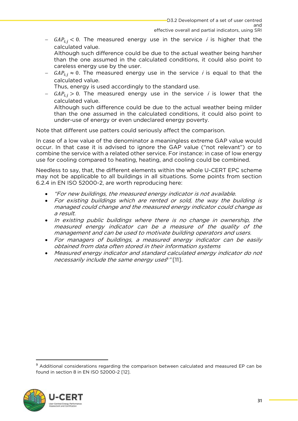$GAP_{i,j}$  < 0. The measured energy use in the service *i* is higher that the calculated value.

Although such difference could be due to the actual weather being harsher than the one assumed in the calculated conditions, it could also point to careless energy use by the user.

−  $GAP_{i,j} \approx 0$ . The measured energy use in the service *i* is equal to that the calculated value.

Thus, energy is used accordingly to the standard use.

 $T = \frac{GAP_{i,j}}{G2} > 0$ . The measured energy use in the service *i* is lower that the

calculated value.<br>Although such difference could be due to the actual weather being milder than the one assumed in the calculated conditions, it could also point to under-use of energy or even undeclared energy poverty. under-use of energy or even undeclared energy poverty.

Note that different use patters could seriously affect the comparison.

In case of a low value of the denominator a meaningless extreme GAP value would occur. In that case it is advised to ignore the GAP value ("not relevant") or to combine the service with a related other service. For instance: in case of low energy use for cooling compared to heating, heating, and cooling could be combined. use for cooling compared to heating, heating, and cooling could be combined.

Needless to say, that, the different elements within the whole U-CERT EPC scheme may not be applicable to all buildings in all situations. Some points from section  $6.24$  in FNJSO 52000-2, are worth reproducing here:  $\mathcal{L}$  in En Iso  $\mathcal{L}$  in Eq. (1) in Eq. (1) in Eq. (1) in Eq. (1) in Eq. (1) in Eq. (1) in Eq. (1) in Eq. (1) in Eq. (1) in Eq. (1) in Eq. (1) in Eq. (1) in Eq. (1) in Eq. (1) in Eq. (1) in Eq. (1) in Eq. (1) in Eq.

- "For new buildings, the measured energy indicator is not available.
- For existing buildings which are rented or sold, the way the building is managed could change and the measured energy indicator could change as a result.
- In existing public buildings where there is no change in ownership, the measured energy indicator can be a measure of the quality of the management and can be used to motivate building operators and users.
- For managers of buildings, a measured energy indicator can be easily obtained from data often stored in their information systems
- Measured energy indicator and standard calculated energy indicator do not necessarily include the same energy uses  $"$ [11].

<sup>9</sup>  $\frac{A}{A}$  and  $\frac{A}{B}$  considerations  $\frac{B}{B}$  for FN ISO 53000.3 F131 found in section 8 in EN ISO 52000-2 [12].

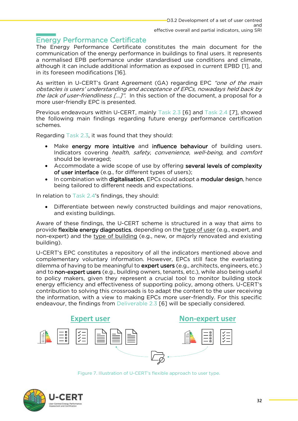<span id="page-32-0"></span>**Energy Performance Certificate**<br>The Energy Performance Certificate constitutes the main document for the communication of the energy performance in buildings to final users. It represents a normalised EPB performance under standardised use conditions and climate, although it can include additional information as exposed in current EPBD [1], and in its foreseen modifications [16]. in its foreseen modifications [16].

As written in U-CERT's Grant Agreement (GA) regarding EPC "one of the main obstacles is users' understanding and acceptance of EPCs, nowadays held back by the lack of user-friendliness [...]". In this section of the document, a proposal for a more user-friendly EPC is presented. more user-friendly EPC is presented.

Previous endeavours within U-CERT, mainly Task 2.3 [6] and Task 2.4 [7], showed the following main findings regarding future energy performance certification the following main findings regarding future energy performance certification schemes.

Regarding Task 2.3, it was found that they should:

- Make energy more intuitive and influence behaviour of building users. Indicators covering *health, safety, convenience, well-being,* and *comfort* should be leveraged:
- Accommodate a wide scope of use by offering several levels of complexity<br>of user interface (e.g. for different types of users):
- In combination with digitalisation, EPCs could adopt a **modular design**, hence<br>heing tailored to different needs and expectations being tailored to different needs and expectations.

 $\sum_{i=1}^{n}$ 

Differentiate between newly constructed buildings and major renovations, and existing buildings. and existing buildings.

Aware of these findings, the U-CERT scheme is structured in a way that aims to provide flexible energy diagnostics, depending on the type of user (e.g., expert, and provide flexible energy and the type of user (e.g., e.g., e.g., e.g., e.g., e.g., e.g., e.g., e.g., e.g., e.g.  $huidina)$ building).

U-CERT's EPC constitutes a repository of all the indicators mentioned above and complementary voluntary information. However, EPCs still face the everlasting dilemma of having to be meaningful to expert users (e.g., architects, engineers, etc.) and to non-expert users (e.g., building owners, tenants, etc.), while also being useful to policy makers, given they represent a crucial tool to monitor building stock energy efficiency and effectiveness of supporting policy, among others. U-CERT's contribution to solving this crossroads is to adapt the content to the user receiving the information, with a view to making EPCs more user-friendly. For this specific endeavour, the findings from Deliverable 2.3 [6] will be specially considered. endeavour, the findings from Deliverable 2.3 [6] will be specially considered.

**Expert user Non-expert user**

Figure 7. Illustration of U-CERT's flexible approach to user type.

<span id="page-32-1"></span>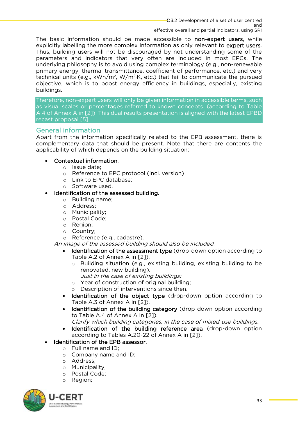The basic information should be made accessible to **non-expert users**, while explicitly labelling the more complex information as only relevant to **expert users**. Thus, building users will not be discouraged by not understanding some of the parameters and indicators that very often are included in most EPCs. The underlying philosophy is to avoid using complex terminology (e.g., non-renewable primary energy, thermal transmittance, coefficient of performance, etc.) and very technical units (e.g.,  $kWh/m^2$ ,  $W/m^2$ K, etc.) that fail to communicate the pursued technical units (e.g., KWH/m, W/m ·K, etc.) that fail to communicate the pursued<br>objective which is to boost energy efficiency in buildings especially existing objective, which is to boost energy efficiency in buildings, especially, existing buildings.

Therefore, non-expert users will only be given information in accessible terms, such A.4 of Annex A in [21]. This dual results presentation is aligned with the latest EPBD recast proposal [5]. recast proposal [5].

### <span id="page-33-0"></span>**General information**

Apart from the information specifically related to the EPB assessment, there is complementary data that should be present. Note that there are contents the compressionary data that should be present. Note that there are contents the applicability of which depends on the building situation:

### • Contextual information.

- <sup>o</sup> Issue date;
- <sup>o</sup> Reference to EPC protocol (incl. version)
- o Link to EPC database;<br>o Software used.
- o Software used.<br>ntification of the a

## • Identification of the assessed building.<br> $\sim$  Building name:

- <sup>o</sup> Building name;
- <sup>o</sup> Address;
- <sup>o</sup> Municipality;
- <sup>o</sup> Postal Code;
- <sup>o</sup> Region;
- <sup>o</sup> Country;
- Reference (e.g., cadastre).

### An image of the assessed building should also be included.

- Identification of the assessment type (drop-down option according to Table A.2 of Annex A in [2]).
	- $\circ$  Building situation (e.g., existing building, existing building to be renovated new building
		- renovated, new building). Just in the case of existing buildings:
	- o Year of construction of original building;<br>
	o Description of interventions since then.
	- Description of interventions since then.
- Identification of the object type (drop-down option according to Table A.3 of Annex A in [2]).
- Identification of the building category (drop-down option according to Table A 4 of Annex A in [21]

to Table A.4 of Annex A in [2]). Clarify which building categories, in the case of mixed-use buildings.

- Identification of the building reference area (drop-down option according to Tables A.20-22 of Annex A in [2]).
- Identification of the EPB assessor.<br>•  $\frac{1}{2}$  Full name and ID:
	- <sup>o</sup> Full name and ID;
		- <sup>o</sup> Company name and ID;
		- <sup>o</sup> Address;
		- <sup>o</sup> Municipality;
		- <sup>o</sup> Postal Code;
		- <sup>o</sup> Region;

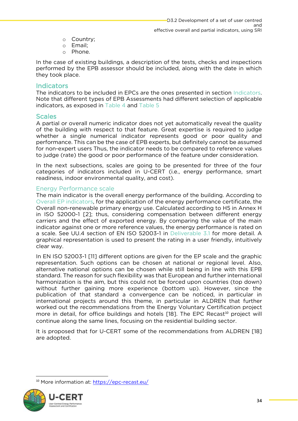- <sup>o</sup> Country;
- o Email;<br>o Phone
- Phone.

In the case of existing buildings, a description of the tests, checks and inspections performed by the EPB assessor should be included, along with the date in which they took place. they took place.

### <span id="page-34-0"></span>Indicators

The indicators to be included in EPCs are the ones presented in section Indicators. Note that different types of EPB Assessments had different selection of applicable  $M$  and different types of  $E$   $\geq$  and  $T$ applicable selection of applicable selection of applications as exposed in  $T$ able  $4$  and  $T$ able  $5$ indicators, as exposed in [Table 4](#page-24-2) and [Table 5](#page-28-4)

### <span id="page-34-1"></span>**Scales**

A partial or overall numeric indicator does not yet automatically reveal the quality of the building with respect to that feature. Great expertise is required to judge whether a single numerical indicator represents good or poor quality and performance. This can be the case of EPB experts, but definitely cannot be assumed for non-expert users Thus, the indicator needs to be compared to reference values for indee (rate) the good or noor performance of the feature under consideration to judge (rate) the good or poor performance of the feature under consideration.

In the next subsections, scales are going to be presented for three of the four categories of indicators included in U-CERT (i.e., energy performance, smart readiness, indoor environmental quality, and cost). readiness, indoor environmental quality, and cost).

<span id="page-34-2"></span>Energy Performance scale<br>The main indicator is the overall energy performance of the building. According to Overall EP indicators, for the application of the energy performance certificate, the Overall non-renewable primary energy use. Calculated according to H5 in Annex H in ISO 52000-1 [2]; thus, considering compensation between different energy carriers and the effect of exported energy. By comparing the value of the main indicator against one or more reference values, the energy performance is rated on a scale. See UU.4 section of EN ISO 52003-1 in Deliverable 3.1 for more detail. A graphical representation is used to present the rating in a user friendly, intuitively graphical representation is used to present the rating in a user friendly, intuitively

clear way.<br>In EN ISO 52003-1 [11] different options are given for the EP scale and the graphic representation. Such options can be chosen at national or regional level. Also, alternative national options can be chosen while still being in line with this EPB standard. The reason for such flexibility was that European and further international harmonization is the aim, but this could not be forced upon countries (top down) without further gaining more experience (bottom up). However, since the publication of that standard a convergence can be noticed, in particular in international projects around this theme, in particular in ALDREN that further worked out the recommendations from the Energy Voluntary Certification project more in detail, for office buildings and hotels [18]. The EPC Recast<sup>10</sup> project will<br>continue along the same lines focusing on the residential building sector. continue along the same lines, focusing on the residential building sector.<br>It is proposed that for U-CERT some of the recommendations from ALDREN [18]

are adopted. are adopted.

<sup>10</sup> More information at:<https://epc-recast.eu/>

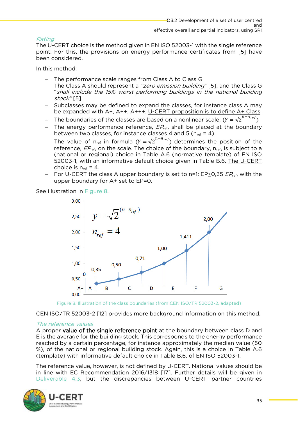### Rating

The U-CERT choice is the method given in EN ISO 52003-1 with the single reference point. For this, the provisions on energy performance certificates from [5] have been considered.

In this method:

- <sup>−</sup> The performance scale ranges from Class A to Class G.
	- The Class A should represent a "zero emission building" [5], and the Class G "shall include the 15% worst-performing buildings in the national building stock" [5].
- Subclasses may be defined to expand the classes, for instance class A may be expanded with A+, A++, A+++. U-CERT proposition is to define A+ Class.
- − The boundaries of the classes are based on a nonlinear scale:  $(Y = \sqrt{2}^{n-n_{ref}})$ <br>The energy performance reference  $ER$ , shall be placed at the boundary
- The energy performance reference,  $EP_{\text{ref}}$ , shall be placed at the boundary between two classes, for instance classes 4 and 5 ( $n_{\text{ref}}$  = 4).

The value of n<sub>ref</sub> in formula  $(Y = \sqrt{2}^{n-n_{ref}})$  determines the position of the reference  $FP$ , on the scale The choice of the boundary n<sub>ot</sub> is subject to a reference,  $EP_{ref}$ , on the scale. The choice of the boundary,  $n_{ref}$ , is subject to a (national or regional) choice in Table A.6 (normative template) of EN ISO 52003-1, with an informative default choice given in Table B.6. The U-CERT choice is  $n_{ref} = 4$ .

− For U-CERT the class A upper boundary is set to n=1: EP≤0,35  $EP_{ref}$ , with the upper boundary for A+ set to EP=0  $E_{\rm p}$  both boundary for  $A+2$  set to  $E=0.0$ 



Figure 8. Illustration of the class boundaries (from CEN ISO/TR 52003-2, adapted)

<span id="page-35-0"></span>CEN ISO/TR 52003-2 [12] provides more background information on this method.

### The reference values

A proper **value of the single reference point** at the boundary between class D and E is the average for the building stock. This corresponds to the energy performance reached by a certain percentage, for instance approximately the median value (50 %), of the national or regional building stock. Again, this is a choice in Table A.6 (template) with informative default choice in Table B.6, of EN ISO 52003-1. (template) with informative default choice in Table B.6. of EN ISO 52003-1.

The reference value, however, is not defined by U-CERT. National values should be in line with EC Recommendation 2016/1318 [17]. Further details will be given in in line with EC Recommendation 2016/1318 [17]. Further details with the given in Deliverable 4.3, but the discrepancies between U-CERT partner countries

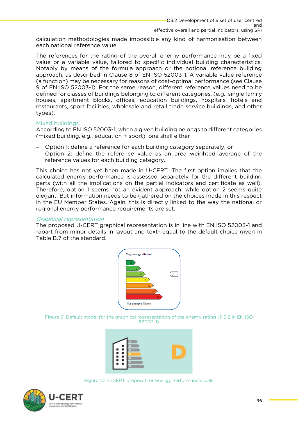calculation methodologies made impossible any kind of harmonisation between each national reference value.

The references for the rating of the overall energy performance may be a fixed value or a variable value, tailored to specific individual building characteristics. Notably by means of the formula approach or the notional reference building approach, as described in Clause 8 of EN ISO 52003-1. A variable value reference (a function) may be necessary for reasons of cost-optimal performance (see Clause 9 of EN ISO 52003-1). For the same reason, different reference values need to be defined for classes of buildings belonging to different categories, (e.g., single family houses, apartment blocks, offices, education buildings, hospitals, hotels and mental trade in the mental trade service buildings, and other restaurants, sport facilities, wholesale and retail trade service buildings, and other types).

Mixed buildings<br>According to EN ISO 52003-1, when a given building belongs to different categories (mixed building, e.g., education  $+$  sport), one shall either (mixed building, e.g., e.g., e.g., e.g., e.g.,  $\frac{1}{2}$ 

- − Option 1: define a reference for each building category separately, or<br>− Option 2: define the reference value as an area weighted avera
- Option 2: define the reference value as an area weighted average of the reference values for each building category. reference values for each building category.

This choice has not yet been made in U-CERT. The first option implies that the calculated energy performance is assessed separately for the different building parts (with all the implications on the partial indicators and certificate as well). Therefore, option 1 seems not an evident approach, while option 2 seems quite elegant. But information needs to be gathered on the choices made in this respect in the EU Member States. Again, this is directly linked to the way the national or  $\sum_{i=1}^{n}$ regional energy performance requirements are set.

#### Graphical representation

The proposed U-CERT graphical representation is in line with EN ISO 52003-1 and -apart from minor details in layout and text- equal to the default choice given in Table B.7 of the standard. Table B.7 of the standard.



<span id="page-36-0"></span> $52003-1$ 52003-1)



Figure 10. U-CERT proposal for Energy Performance scale

<span id="page-36-1"></span>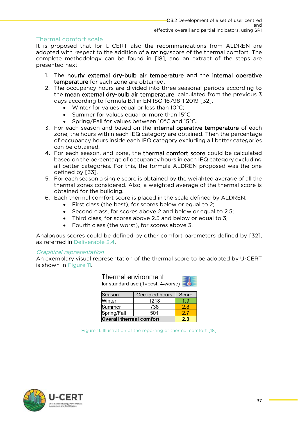<span id="page-37-0"></span>Thermal comfort scale<br>It is proposed that for U-CERT also the recommendations from ALDREN are adopted with respect to the addition of a rating/score of the thermal comfort. The complete methodology can be found in [18], and an extract of the steps are presented next. presented next.

- 1. The hourly external dry-bulb air temperature and the internal operative temperature for each zone are obtained.
- 2. The occupancy hours are divided into three seasonal periods according to the mean external dry-bulb air temperature, calculated from the previous 3 days according to formula B.1 in EN ISO 16798-1:2019 [32].
	- Winter for values equal or less than  $10^{\circ}$ C;<br>• Summer for values equal or more than  $15^{\circ}$ C
		- Summer for values equal or more than  $15^{\circ}$ C<br>• Spring/Fall for values between  $10^{\circ}$ C and  $15^{\circ}$
		-
- Spring/Fall for values between 10°C and 15°C.<br>3. For each season and based on the **internal operative temperature** of each zone, the hours within each IEQ category are obtained. Then the percentage of occupancy hours inside each IEQ category excluding all better categories can be obtained.
- 4. For each season, and zone, the thermal comfort score could be calculated based on the percentage of occupancy hours in each IEQ category excluding all better categories. For this, the formula ALDREN proposed was the one defined by [33].
- 5. For each season a single score is obtained by the weighted average of all the thermal zones considered. Also, a weighted average of the thermal score is obtained for the building.
- 6. Each thermal comfort score is placed in the scale defined by ALDREN:
- First class (the best), for scores below or equal to 2;<br>• Second class for scores above 2 and below or equal to 2.5;
	- Second class, for scores above 2 and below or equal to 2.5;
	- Third class, for scores above 2.5 and below or equal to 3;
	- Fourth class (the worst), for scores above 3.

Analogous scores could be defined by other comfort parameters defined by [32], as referred in Deliverable 2.4. as referred in Deliverable 2.4.

### Graphical representation

An exemplary visual representation of the thermal score to be adopted by U-CERT is shown in Figure 11. is shown in [Figure 11.](#page-37-1)

| Thermal environment<br>for standard use (1=best, 4-worse) $\equiv$ 6 |                |       |  |  |  |
|----------------------------------------------------------------------|----------------|-------|--|--|--|
| Season                                                               | Occupied hours | Score |  |  |  |
| Winter                                                               | 1218           | 1.9   |  |  |  |
| Summer                                                               | 2.8            |       |  |  |  |
| Spring/Fall<br>501<br>27                                             |                |       |  |  |  |
| <b>Overall thermal comfort</b>                                       | 2.3            |       |  |  |  |

<span id="page-37-1"></span>Figure 11. Illustration of the reporting of thermal comfort [18]

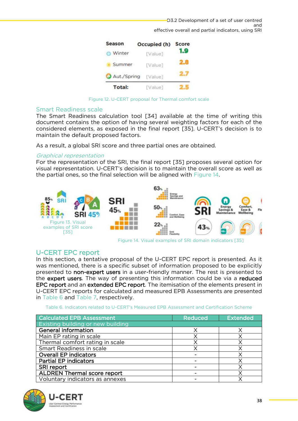

Figure 12. U-CERT proposal for Thermal comfort scale

### <span id="page-38-2"></span><span id="page-38-0"></span>**Smart Readiness scale**

The Smart Readiness calculation tool [34] available at the time of writing this document contains the option of having several weighting factors for each of the considered elements, as exposed in the final report [35]. U-CERT's decision is to maintain the default proposed factors. maintain the default proposed factors.

As a result, a global SRI score and three partial ones are obtained.

### Graphical representation

For the representation of the SRI, the final report [35] proposes several option for visual representation. U-CERT's decision is to maintain the overall score as well as the partial ones, so the final selection will be aligned with Figure  $14$ .  $t_{\rm eff}$  ones, so the final selection will be aligned with  $\sigma$  aligned with  $\sigma$ 



<span id="page-38-4"></span>Figure 14. Visual examples of SRI domain indicators [35]

<span id="page-38-3"></span><span id="page-38-1"></span>U-CERT EPC report<br>In this section, a tentative proposal of the U-CERT EPC report is presented. As it was mentioned, there is a specific subset of information proposed to be explicitly presented to non-expert users in a user-friendly manner. The rest is presented to the expert users. The way of presenting this information could be via a reduced EPC report and an extended EPC report. The itemisation of the elements present in U-CERT EPC reports for calculated and measured EPB Assessments are presented in Table 6 and Table 7 respectively

<span id="page-38-5"></span>

| Table 6. Indicators related to U-CERT's Measured EPB Assessment and Certification Scheme |  |  |
|------------------------------------------------------------------------------------------|--|--|
|                                                                                          |  |  |

| <b>Calculated EPB Assessment</b>         | Reduced | Extended |
|------------------------------------------|---------|----------|
| <b>Existing building or new building</b> |         |          |
| <b>General information</b>               |         |          |
| Main EP rating in scale                  |         |          |
| Thermal comfort rating in scale          |         |          |
| Smart Readiness in scale                 |         |          |
| <b>Overall EP indicators</b>             |         |          |
| <b>Partial EP indicators</b>             |         |          |
| SRI report                               |         |          |
| <b>ALDREN Thermal score report</b>       |         |          |
| Voluntary indicators as annexes          |         | χ        |
|                                          |         |          |



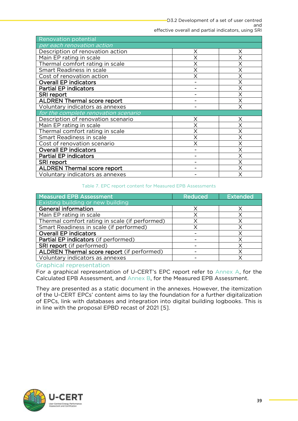| <b>Renovation potential</b>          |   |   |
|--------------------------------------|---|---|
| per each renovation action           |   |   |
| Description of renovation action     | X | Χ |
| Main EP rating in scale              |   |   |
| Thermal comfort rating in scale      |   |   |
| Smart Readiness in scale             | X |   |
| Cost of renovation action            | Χ | Χ |
| <b>Overall EP indicators</b>         |   |   |
| <b>Partial EP indicators</b>         |   | Χ |
| SRI report                           |   |   |
| <b>ALDREN Thermal score report</b>   |   |   |
| Voluntary indicators as annexes      |   | Χ |
| for the complete renovation scenario |   |   |
| Description of renovation scenario   | Χ | X |
| Main EP rating in scale              |   | Χ |
| Thermal comfort rating in scale      |   |   |
| Smart Readiness in scale             | Χ | Χ |
| Cost of renovation scenario          | X | Χ |
| <b>Overall EP indicators</b>         |   | Χ |
| <b>Partial EP indicators</b>         |   |   |
| SRI report                           |   |   |
| <b>ALDREN Thermal score report</b>   |   |   |
| Voluntary indicators as annexes      |   |   |
|                                      |   |   |

#### Table 7. EPC report content for Measured EPB Assessments

<span id="page-39-1"></span>

| <b>Measured EPB Assessment</b>                 | Reduced | <b>Extended</b> |
|------------------------------------------------|---------|-----------------|
| Existing building or new building              |         |                 |
| <b>General information</b>                     |         |                 |
| Main EP rating in scale                        |         |                 |
| Thermal comfort rating in scale (if performed) |         |                 |
| Smart Readiness in scale (if performed)        |         |                 |
| <b>Overall EP indicators</b>                   |         |                 |
| Partial EP indicators (if performed)           |         |                 |
| <b>SRI report</b> (if performed)               |         |                 |
| ALDREN Thermal score report (if performed)     |         |                 |
| Voluntary indicators as annexes                |         |                 |

#### <span id="page-39-0"></span>Graphical representation

For a graphical representation of U-CERT's EPC report refer to Annex A, for the  $F$  a graphical representation of  $F$  and  $F$  and  $F$  and  $F$  and  $F$  and  $F$  and  $F$  and  $F$  and  $F$  and  $F$  and  $F$  are  $F$  and  $F$  and  $F$  are  $F$  and  $F$  are  $F$  and  $F$  are  $F$  and  $F$  are  $F$  and  $F$  are  $F$  are  $F$ Calculated EPB Assessment, and [Annex B,](#page-46-0) for the Measured EPB Assessment.

They are presented as a static document in the annexes. However, the itemization of the U-CERT EPCs' content aims to lay the foundation for a further digitalization of EPCs, link with databases and integration into digital building logbooks. This is  $\frac{1}{2}$  in line with the proposal EPRD recast of 2021 [5] in line with the proposal EPBD recast of 2021 [5].

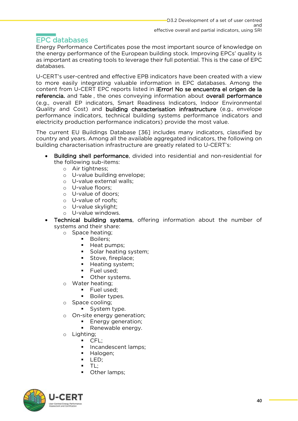## <span id="page-40-0"></span>**EPC databases**

Energy Performance Certificates pose the most important source of knowledge on the energy performance of the European building stock. Improving EPCs' quality is as important as creating tools to leverage their full potential. This is the case of EPC as in portant as core to leverage the case of the case of the case of EPCC is the case of EPCC of EPCC of EPCC o databases.

U-CERT's user-centred and effective EPB indicators have been created with a view<br>to more easily integrating valuable information in FPC databases. Among the content from U-CERT EPC reports listed in **iError! No se encuentra el origen de la** referencia. and [Table](#page-39-1) , the ones conveying information about overall performance Quality and Cost) and building characterisation infrastructure (e.g., envelope performance indicators, technical building systems performance indicators and  $\frac{1}{2}$  performance indicators) provide the most value electricity production performance indicators) provide the most value.

The current EU Buildings Database [36] includes many indicators, classified by country and years. Among all the available aggregated indicators, the following on building characterisation infrastructure are greatly related to U-CERT's: building characterisation infrastructure are greatly related to U-CERT's:

- **Building shell performance**, divided into residential and non-residential for the following sub-items:
	- o Air tightness;<br>o U-value building
		- o U-value building envelope;<br>o U-value external walls:
		- o U-value external walls;<br>o U-value floors:
		- o U-value floors;<br>o U-value of doc
		- o U-value of doors;<br>o U-value of roofs;
		- o U-value of roofs;<br>o U-value skylight:
		- o U-value skylight;<br>o U-value windows
		- U-value windows.
- **Technical building systems**, offering information about the number of systems and their share:
	- systems and their shares.<br>
	o Space heating;<br>
	Boilers:
		- Boilers;<br>■ Heat pu
		- Heat pumps;<br>■ Solar beating
		- **BED Solar heating system;**<br>**Example Stove fireplace**
		- Stove, fireplace;<br>■ Heating system;
		- Heating system;<br>■ Fuel used:
		- Fuel used;<br>■ Other syst
		- Other systems.
		- <sup>o</sup> Water heating;
			- Fuel used:
			- Boiler types.
		- <sup>o</sup> Space cooling;
			- System type.
		- On-site energy generation;
			- Energy generation;<br>■ Renewable energy
			- Renewable energy.
		- o Lighting;<br>∎ C
			- CFL;<br>▪ Incar
				- Incandescent lamps;<br>■ Halogen:
				- Halogen;<br>■ LED:
				- $\overline{P}$  LED;
				- $\blacksquare$  TL;<br> $\blacksquare$  Oth
				- Other lamps;

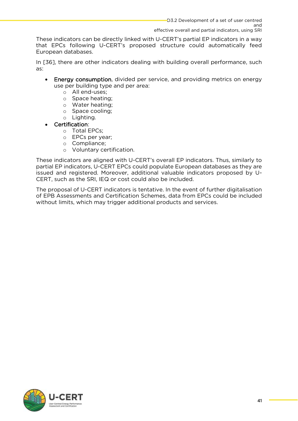These indicators can be directly linked with U-CERT's partial EP indicators in a way that EPCs following U-CERT's proposed structure could automatically feed European databases. European databases.

In [36], there are other indicators dealing with building overall performance, such as:

- Energy consumption, divided per service, and providing metrics on energy use per building type and per area:
	- o All end-uses;<br>o Space heating:
		- <sup>o</sup> Space heating;
		- <sup>o</sup> Water heating;
		- <sup>o</sup> Space cooling;
		- <sup>o</sup> Lighting.
- Certification:
	- <sup>o</sup> Total EPCs;
	- <sup>o</sup> EPCs per year;
	- <sup>o</sup> Compliance;
	- <sup>o</sup> Voluntary certification.

These indicators are aligned with U-CERT's overall EP indicators. Thus, similarly to partial EP indicators, U-CERT EPCs could populate European databases as they are issued and registered. Moreover, additional valuable indicators proposed by U-CERT, such as the SRI, IEQ or cost could also be included. CERT, such as the SRI, IEQ or cost could also be included.

The proposal of U-CERT indicators is tentative. In the event of further digitalisation of EPB Assessments and Certification Schemes, data from EPCs could be included  $\frac{1}{2}$  without limits which may trigger additional products and services without limits, which may trigger additional products and services.

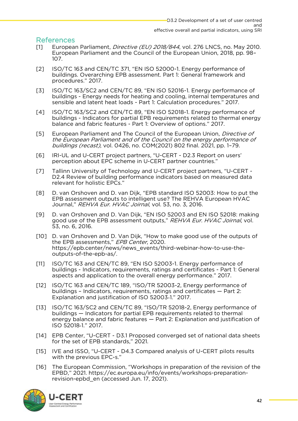- <span id="page-42-0"></span>European Parliament, *Directive (EU) 2018/844*, vol. 276 LNCS, no. May 2010.<br>Furopean Parliament and the Council of the Furopean Union. 2018. pp. 98- $\frac{107}{20}$ 107.<br>ISO/TC 163 and CEN/TC 371. "EN ISO 52000-1. Energy performance of
- [2] ISO/TC 163 and CEN/TC 371, "EN ISO 52000-1. Energy performance of procedures." 2017.
- ISO/TC 163/SC2 and CEN/TC 89, "EN ISO 52016-1. Energy performance of [3] ISO/TC 163/SC2 and CEN/TC 89, "EN ISO 52016-1. Energy performance of sensible and latent heat loads - Part 1: Calculation procedures." 2017.
- ISO/TC 163/SC2 and CEN/TC 89, "EN ISO 52018-1. Energy performance of [4] ISO/TC 163/SC2 and CEN/TC 89, "EN ISO 52018-1. Energy performance of balance and fabric features - Part 1: Overview of options." 2017. balance and fabric features - Part 1: Overview of options." 2017.
- European Parliament and The Council of the European Union, *Directive of*<br>the Furopean Parliament and of the Council on the energy performance oi the European Parliament and of the Council on the energy performance of buildings (recast), vol. 0426, no. COM(2021) 802 final. 2021, pp. 1-79.<br>IRI-UL and U-CERT project partners. "U-CERT - D2.3 Report on users'
- [6] IRI-UL and U-CERT project partners, "U-CERT D2.3 Report operception about EPC scheme in U-CERT partner countries."
- Tallinn University of Technology and U-CERT project partners, "U-CERT -[7] Tallinn University of Technology and U-CERT project partners, "U-CERT relevant for holistic EPCs." relevant for holistic EPCs."
- [8] D. van Orshoven and D. van Dijk, "EPB standard ISO 52003: How to put the<br>EPB assessment outputs to intelligent use? The REHVA European HVAC EP assessment outputs to intelligent users the REPORT Enterpretent in the Journal," REHVA Eur. HVAC Joirnal, vol. 53, no. 3, 2016.
- good use of the EPB assessment outputs," REHVA Eur. HVAC Joirnal, vol.<br>53, no. 6, 2016. 53, no. 6, 2016.<br>
[10] D. van Orshoven and D. Van Dijk, "How to make good use of the outputs of
- the EPB assessments," *EPB Center*, 2020.<br>https://epb.center/news/news\_events/third-webinar-how-to-use-the- $\frac{1}{2}$  https://epp.center/news/ $\frac{1}{2}$ outputs-of-the-epb-as/.
- [11] ISO/TC 163 and CEN/TC 89, "EN ISO 52003-1. Energy performance of buildings - Indicators, requirements, ratings and certificates - Part in Series in aspects and application to the overall energy performance." 2017.
- [12] ISO/TC 163 and CEN/TC 189, "ISO/TR 52003-2, Energy performance of buildings Indicators, requirements, ratings and certificates Part 2: Explanation and justification of ISO 52003-1." 2017.
- $[13]$ ISO/TC 163/SC2 and CEN/TC 89, "ISO/TR 52018-2, Energy performance of buildings — Indicators for partial EPB requirements related to thermal energy balance and fabric features  $-$  Part 2: Explanation and justification of energy balance and fabric features — Part 2: Explanation and justification of ISO 52018‑1." 2017.
- [14] EPB Center, "U-CERT D3.1 Proposed converged set of national data sheets for the set of EPB standards," 2021.
- $\frac{1}{2}$  with the previous FPC-s." with the previous  $E$ -s."
- [16] The European Commission, "Workshops in preparation of the revision of the EPBD," 2021. https://ec.europa.eu/info/events/workshops-preparationrevision-epbd en (accessed Jun. 17, 2021). revision-epbd\_en (accessed Jun. 17, 2021).



**42**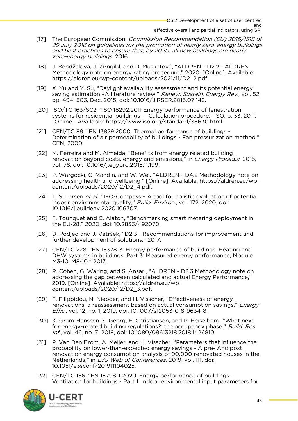- effective overall and partial indicators, using SRI [17] The European Commission, Commission Recommendation (EU) 2016/1318 of 29 July 2016 on guidelines for the promotion of nearly zero-energy buildings and best practices to ensure that, by 2020, all new buildings are nearly
- *zero-energy buildings*. 2016.<br>J. Bendžalová, J. Zirngibl, and D. Muskatová, "ALDREN D2.2 ALDREN [18] J. Bendžalová, J. Zirngibl, and D. Muskatová, "ALDREN - D2.2 - ALDREN https://aldren.eu/wp-content/uploads/2021/11/D2\_2.pdf. https://aldren.eu/wp-content/uploads/2021/11/D2\_2.pdf.
- saving estimation –A literature review," Renew. Sustain. Energy Rev., vol. 52,<br>pp. 494-503. Dec. 2015. doi: 10.1016/J.RSER.2015.07.142.
- pp. 494–503, Dec. 2015, doi: 10.1016/J.RSER.2015.07.142.<br>[20] ISO/TC 163/SC2, "ISO 18292:2011 Energy performance of fenestration systems for residential buildings  $-$  Calculation procedure." ISO, p. 33, 2011, [Online]. Available: https://www.iso.org/standard/38630.html.
- CEN/TC 89, "EN 13829:2000. Thermal performance of buildings - $\Gamma$ 211 Determination of air permeability of buildings - Fan pressurization method." CEN, 2000. CEN, 2000.
- renovation beyond costs, energy and emissions," in *Energy Procedia*, 2015,<br>vol. 78, doi: 10.1016/i egypro 2015.11.199 vol. 78, doi: 10.1016/j.egypro.2015.11.199.<br>[23] P. Wargocki, C. Mandin, and W. Wei, "ALDREN - D4.2 Methodology note on
- addressing health and wellbeing." [Online]. Available: https://aldren.eu/wpcontent/uploads/2020/12/D2 4.pdf. content/up to expect the content of  $\frac{1}{2}$
- [24] T. S. Larsen *et al.*, "IEQ-Compass A tool for holistic evaluation of potential indoor environmental quality," Build. Environ., vol. 172, 2020, doi:
- 10.1016/j.buildenv.2020.106707.<br>[25] F. Tounquet and C. Alaton, "Benchmarking smart metering deployment in the EU-28," 2020. doi: 10.2833/492070.
- [26] D. Podied and J. Vetršek. "D2.3 Recommendations for improvement and further development of solutions," 2017.
- [27] CEN/TC 228, "EN 15378-3. Energy performance of buildings. Heating and DHW systems in buildings. Part 3: Measured energy performance, Module M3-10, M8-10." 2017.
- [28] R. Cohen, G. Waring, and S. Ansari, "ALDREN D2.3 Methodology note on addressing the gap between calculated and actual Energy Performance." 2019. [Online]. Available: https://aldren.eu/wp- $\frac{1}{20}$  content/uploads/2020/12/D2 3.pdf. content/up to  $\frac{1}{2}$  and  $\frac{1}{2}$  and  $\frac{1}{2}$  and  $\frac{1}{2}$  and  $\frac{1}{2}$  and  $\frac{1}{2}$  and  $\frac{1}{2}$  and  $\frac{1}{2}$  and  $\frac{1}{2}$  and  $\frac{1}{2}$  and  $\frac{1}{2}$  and  $\frac{1}{2}$  and  $\frac{1}{2}$  and  $\frac{1}{2}$  and  $\frac{1}{2}$  a
- renovations: a reassessment based on actual consumption savings," Energy<br>Fffic. vol. 12, no. 1, 2019, doi: 10.1007/s12053-018-9634-8. *Effic.*, vol. 12, no. 1, 2019, doi: 10.1007/s12053-018-9634-8.<br>F301 K. Gram-Hanssen. S. Georg. E. Christiansen. and P. Heiselberg. "What next
- for energy-related building regulations?: the occupancy phase," Build. Res.<br>Inf. vol. 46, no. 7, 2018. doi: 10.1080/09613218.2018.1426810.
- Inf., vol. 46, no. 7, 2018, doi: 10.1080/09613218.2018.1426810.<br>P. Van Den Brom, A. Meijer, and H. Visscher, "Parameters that influence the  $\sqrt{311}$ probability on lower-than-expected energy savings - A pre- And post renovation energy consumption analysis of 90,000 renovated houses in the Netherlands," in *E3S Web of Conferences*, 2019, vol. 111, doi:<br>10.1051/e3sconf/201911104025.
- 10.1051/e3sconf/201911104025.<br>- CEN/TC 156. "EN 16798-1:2020. Energy performance of buildings Ventilation for buildings - Part 1: Indoor environmental input parameters for Ventilation for buildings - Part 1: Indoor environmental input parameters for

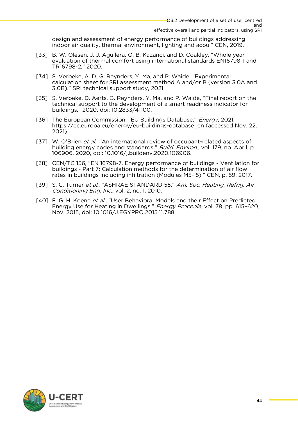design and assessment of energy performance of buildings add scould component indoor air quality, thermal environment. I lighting and acould CFN, 2019.

- indoor air quality, thermal environment, lighting and acou." CEN, 2019. [33] B. W. Olesen, J. J. Aguilera, O. B. Kazanci, and D. Coakley, "Whole year<br>evaluation of thermal comfort using international standards EN16798-1 and evaluation of the thermal component using international state international state international standards EN16 TRIFFIC - 2, 2020.
- [34] S. Verbeke, A. D, G. Reynders, Y. Ma, and P. Waide, "Experimental calculation sheet for SRI assessment method A and/or B (version 3.0A and 3.0B)." SRI technical support study, 2021.  $\mathbf{3.0}$ . Sri technical support study, 2021.
- [35] S. Verbeke, D. Aerts, G. Reynders, Y. Ma, and P. Waide, "Final report on the technical support to the development of a smart readiness indicator for  $t_{\text{h}}$  buildings." 2020, doi: 10.2833/41100. buildings," 2020. doi: 10.2833/41100.
- [36] The European Commission, "EU Buildings Database," *Energy*, 2021.<br>https://ec.europa.eu/energy/eu-buildings-database\_en (accessed I  $\frac{1}{2021}$ 2021).
- [37] W. O'Brien *et al.*, "An international review of occupant-related aspects of<br>building energy codes and standards " *Build. Environ*, vol. 179, no. April, r building energy codes and standards," *Build. Environ.*, vol. 179, no. April, p. 106906, 2020, doi: 10.1016/j.buildenv.2020.106906.<br>[38] CEN/TC 156, "EN 16798-7. Energy performance of buildings - Ventilation for
- buildings Part 7: Calculation methods for the determination of air flow rates in buildings including infiltration (Modules M5-5)." CEN, p. 59, 2017. rates in buildings including infiltration (Modules M5- 5)." CEN, p. 59, 2017.
- [39] S. C. Turner *et al.*, "ASHRAE STANDARD 55," *Am. Soc. Heating, Refrig. Air-*<br>*Conditioning Fng. Inc.*, vol. 2, no. 1, 2010. Conditioning Eng. Inc., vol. 2, no. 1, 2010.
- [40] F. G. H. Koene et al., "User Behavioral Models and their Effect on Predicted Energy Use for Heating in Dwellings," Energy Procedia, vol. 78, pp. 615–620, Nov. 2015, doi: 10.1016/J.EGYPRO.2015.11.788.

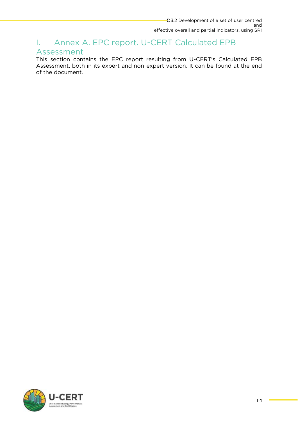# <span id="page-45-0"></span>I. Annex A. EPC report. U-CERT Calculated EPB

This section contains the EPC report resulting from U-CERT's Calculated EPB Assessment both in its expert and non-expert version. It can be found at the end Assessment, both in its expert and non-expert version. It can be found at the end of the document.

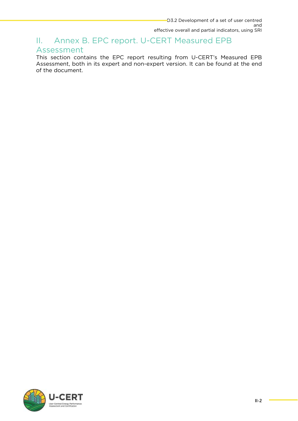## <span id="page-46-0"></span>effective overall and partial indicators, using SRI II. Annex B. EPC report. U-CERT Measured EPB<br>Assessment

This section contains the EPC report resulting from U-CERT's Measured EPB Assessment, both in its expert and non-expert version. It can be found at the end of the document. of the document.

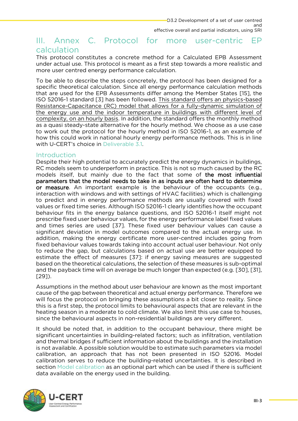### <span id="page-47-0"></span>effective overall and partial indicators, using SRI III. Annex C. Protocol for more user-centric calculation **FP**

This protocol constitutes a concrete method for a Calculated EPB Assessment under actual use. This protocol is meant as a first step towards a more realistic and more user centred energy performance calculation. more user centred energy performance calculation.

To be able to describe the steps concretely, the protocol has been designed for a specific theoretical calculation. Since all energy performance calculation methods that are used for the EPB Assessments differ among the Member States [15], the ISO 52016-1 standard [3] has been followed. This standard offers an physics-based Resistance-Capacitance (RC) model that allows for a fully-dynamic simulation of the energy use and the indoor temperature in buildings with different level of complexity, on an hourly basis. In addition, the standard offers the monthly method as a quasi steady-state alternative for the hourly method. We choose as a use case to work out the protocol for the hourly method in ISO 52016-1, as an example of how this could work in national hourly energy performance methods. This is in line with U-CERT's choice in Deliverable 3.1. with U-CERT's choice in Deliverable 3.1.

<span id="page-47-1"></span>Introduction<br>Despite their high potential to accurately predict the energy dynamics in buildings, RC models seem to underperform in practice. This is not so much caused by the RC models itself, but mainly due to the fact that some of the most influential parameters that the model needs to take in as inputs are often hard to determine or measure. An important example is the behaviour of the occupants (e.g., interaction with windows and with settings of HVAC facilities) which is challenging to predict and in energy performance methods are usually covered with fixed values or fixed time series. Although ISO 52016-1 clearly identifies how the occupant behaviour fits in the energy balance questions, and ISO 52016-1 itself might not prescribe fixed user behaviour values, for the energy performance label fixed values and times series are used [37]. These fixed user behaviour values can cause a significant deviation in model outcomes compared to the actual energy use. In addition, making the energy certificate more user-centred includes going from fixed behaviour values towards taking into account actual user behaviour. Not only to reduce the gap, but calculations based on actual use are better equipped to estimate the effect of measures [37]: if energy saving measures are suggested based on the theoretical calculations, the selection of these measures is sub-optimal based on the theoretical calculations, the selection of these measures is sub-optimal.<br>and the navhack time will on average he much longer than expected (e.g. [30] [31] and the payback time will one average be much longer than expected (e.g. [30], [31], ]<br>[20])  $\frac{1}{2}$ 

Assumptions in the method about user behaviour are known as the most important cause of the gap between theoretical and actual energy performance. Therefore we will focus the protocol on bringing these assumptions a bit closer to reality. Since this is a first step, the protocol limits to behavioural aspects that are relevant in the heating season in a moderate to cold climate. We also limit this use case to houses, since the hebavioural aspects in non-residential buildings are very different since the behavioural aspects in non-residential buildings are very different.

It should be noted that, in addition to the occupant behaviour, there might be significant uncertainties in building-related factors; such as infiltration, ventilation and thermal bridges if sufficient information about the buildings and the installation is not available. A possible solution would be to estimate such parameters via model calibration, an approach that has not been presented in ISO 52016. Model calibration serves to reduce the building-related uncertainties. It is described in section Model calibration as an optional part which can be used if there is sufficient section model calibration as an optional part military can be used in the cannot in sufficient. data available on the energy used in the building.

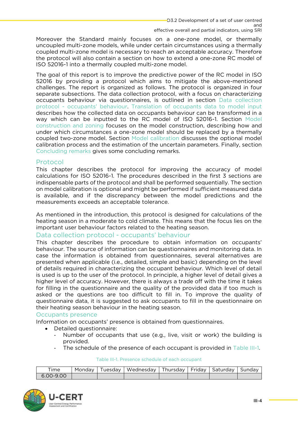effective overall and partial indicators, using SRI Moreover the Standard mainly focuses on a one-zone model, or thermally uncoupled multi-zone models, while under certain circumstances using a thermally coupled multi-zone model is necessary to reach an acceptable accuracy. Therefore the protocol will also contain a section on how to extend a one-zone RC model of ISO 52016-1 into a thermally coupled multi-zone model. ISO 52016-1 into a thermally coupled multi-zone model.

The goal of this report is to improve the predictive power of the RC model in ISO<br>52016 by providing a protocol which aims to mitigate the above-mentioned challenges. The report is organized as follows. The protocol is organized in four separate subsections. The data collection protocol, with a focus on characterizing occupants behaviour via questionnaires, is outlined in section Data collection protocol - occupants' behaviour. Translation of occupants data to model input describes how the collected data on occupants behaviour can be transformed in a way which can be inputted to the RC model of ISO 52016-1. Section Model construction and zoning focuses on the model construction, describing how and under which circumstances a one-zone model should be replaced by a thermally coupled two-zone model. Section Model calibration discusses the optional model calibration process and the estimation of the uncertain parameters. Finally, section Concluding remarks gives some concluding remarks. [Concluding remarks](#page-55-0) gives some concluding remarks.

### <span id="page-48-0"></span>Protocol

This chapter describes the protocol for improving the accuracy of model calculations for ISO 52016-1. The procedures described in the first 3 sections are indispensable parts of the protocol and shall be performed sequentially. The section on model calibration is optional and might be performed if sufficient measured data is available, and if the discrepancy between the model predictions and the measurements exceeds an acceptable tolerance. measurements exceeds an acceptable tolerance.

As mentioned in the introduction, this protocol is designed for calculations of the heating season in a moderate to cold climate. This means that the focus lies on the important user behaviour factors related to the heating season.

### <span id="page-48-1"></span>Data collection protocol - occupants' behaviour

This chapter describes the procedure to obtain information on occupants' behaviour. The source of information can be questionnaires and monitoring data. In case the information is obtained from questionnaires, several alternatives are presented when applicable (i.e., detailed, simple and basic) depending on the level of details required in characterizing the occupant behaviour. Which level of detail is used is up to the user of the protocol. In principle, a higher level of detail gives a higher level of accuracy. However, there is always a trade off with the time it takes for filling in the questionnaire and the quality of the provided data if too much is asked or the questions are too difficult to fill in. To improve the quality of questionnaire data, it is suggested to ask occupants to fill in the questionnaire on their heating season behaviour in the heating season.

### <span id="page-48-2"></span>Occupants presence

Information on occupants' presence is obtained from questionnaires.

- 
- Detailed questionnaire:<br>• Detailed questionnaire:<br>• Number of occupants that use (e.g. live visit or work) t Number of occupants that use (e.g., live, visit or work) the building is provided.
	- The schedule of the presence of each occupant is provided in [Table III-1.](#page-48-3)

## Table III-1. Presence schedule of each occupant

<span id="page-48-3"></span>

| $6.00 - 9.00$ | ime | Mondav | Tuesdav I | Wednesday | Thursday   Friday   Saturday |  | Sundav |
|---------------|-----|--------|-----------|-----------|------------------------------|--|--------|
|               |     |        |           |           |                              |  |        |

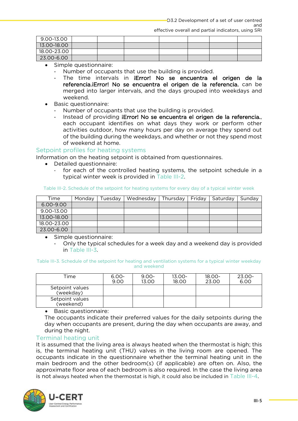| 9.00-13.00  |  |  |  |  |
|-------------|--|--|--|--|
| 13.00-18.00 |  |  |  |  |
| 18.00-23.00 |  |  |  |  |
| 23.00-6.00  |  |  |  |  |

- Simple questionnaire:<br>• Simple questionnaire:<br>• Number of occupa
	- Number of occupants that use the building is provided.
	- The time intervals in **iError! No se encuentra el origen de la referencia. Error! No se encuentra el origen de la referencia.** can be merged into larger intervals, and the days grouped into weekdays and merged into larger intervals, and the days grouped into weekdays and
	- Basic questionnaire:<br>• Number of occur
		- Number of occupants that use the building is provided.
		- Instead of providing **iError! No se encuentra el origen de la referencia.**, each occupant identifies on what days they work or perform other activities outdoor, how many hours per day on average they spend out of the building during the weekdays, and whether or not they spend most of weekend at home.

### <span id="page-49-0"></span>Setpoint profiles for heating systems.

Information on the heating setpoint is obtained from questionnaires.

- 
- Detailed questionnaire:<br>• Detailed questionnaire:<br>• for each of the controlled heating systems the setpoint for each of the controlled heati[ng systems,](#page-49-2) the setpoint schedule in a typical winter week is provided in Table III-2.

#### <span id="page-49-2"></span>Table III-2. Schedule of the setpoint for heating systems for every day of a typical winter week

| Time        | Monday | Tuesday | Wednesday | Thursday I | Friday   Saturday | Sunday |
|-------------|--------|---------|-----------|------------|-------------------|--------|
| 6.00-9.00   |        |         |           |            |                   |        |
| 9.00-13.00  |        |         |           |            |                   |        |
| 13.00-18.00 |        |         |           |            |                   |        |
| 18.00-23.00 |        |         |           |            |                   |        |
| 23.00-6.00  |        |         |           |            |                   |        |

- Simple questionnaire:<br>• Only the typical so
	- O[nly the typi](#page-49-3)cal schedules for a week day and a weekend day is provided in Table III-3.

<span id="page-49-3"></span>Table III-3. Schedule of the setpoint for heating and ventilation systems for a typical winter weekday

| Time                         | $6.00 -$<br>9.00 | $9.00 -$<br>13.00 | $13.00 -$<br>18.00 | $18.00 -$<br>23.00 | 23.00-<br>6.00 |
|------------------------------|------------------|-------------------|--------------------|--------------------|----------------|
| Setpoint values<br>(weekday) |                  |                   |                    |                    |                |
| Setpoint values<br>(weekend) |                  |                   |                    |                    |                |

• Basic questionnaire:<br>The occupants indicate

The occupants indicate their preferred values for the daily setpoints during the<br>day when occupants are present during the day when occupants are away, and during the night when present, during the day when  $\frac{1}{2}$  when  $\frac{1}{2}$  are away, and a distribution of the day when  $\frac{1}{2}$ during the night.<br>Terminal heating unit

<span id="page-49-1"></span>It is assumed that the living area is always heated when the thermostat is high; this is, the terminal heating unit (THU) valves in the living room are opened. The occupants indicate in the questionnaire whether the terminal heating unit in the main bedroom and the other bedroom(s) (if applicable) are often on. Also, the approximate floor area of each bedroom is also required. In the case the living area is not always heated when the thermostat is high, it could also be included in Table III-4. is not always heated when the thermostat is high, it could also be included in [Table III-4.](#page-50-3)

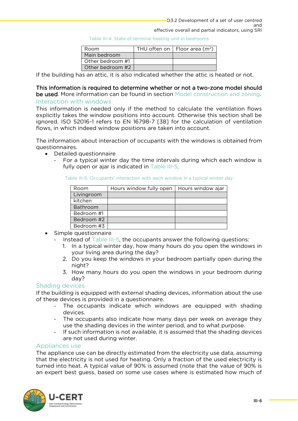|  |  |  | Table III-4. State of terminal heating unit in bedrooms |
|--|--|--|---------------------------------------------------------|
|  |  |  |                                                         |

| Room             | THU often on $ $ Floor area (m <sup>2</sup> ) |
|------------------|-----------------------------------------------|
| Main bedroom     |                                               |
| Other bedroom #1 |                                               |
| Other bedroom #2 |                                               |

<span id="page-50-3"></span>If the building has an attic, it is also indicated whether the attic is heated or not. If the building has an attic, it is also indicated whether the attice is heated or not.

## This information is required to determine whether [or not a two-zone model should](#page-52-2) be used. More information can be found in section Model construction and zoning. Interaction with windows

<span id="page-50-0"></span>This information is needed only if the method to calculate the ventilation flows explicitly takes the window positions into account. Otherwise this section shall be ignored. ISO 52016-1 refers to EN 16798-7 [38] for the calculation of ventilation flows, in which indeed window positions are taken into account. flows, in which indeed window positions are taken into account.

The information about interaction of occupants with the windows is obtained from que stion naires.

- <span id="page-50-4"></span>• Detailed questionnaire<br>For a typical winte
	- For a typical winter day the ti[me intervals](#page-50-4) during which each window is fully open or ajar is indicated in  $Table III-5$ . fully open or ajar is indicated in Table III-5.

Table III-5. Occupants' interaction with each window in a typical winter day

| Room       | Hours window fully open | Hours window ajar |
|------------|-------------------------|-------------------|
| Livingroom |                         |                   |
| kitchen    |                         |                   |
| Bathroom   |                         |                   |
| Bedroom #1 |                         |                   |
| Bedroom #2 |                         |                   |
| Bedroom #3 |                         |                   |

- Simple questi[onnaire](#page-50-4)<br>• Instead of Table II
	- - Instead of Table III-5, the occupants answer the following questions:<br>1. In a typical winter day, how many hours do you open the windows in vour living area during the day?
		- your mang area during the day? 2. Do you keep the windows in your bedroom partially open during the windows open during the windows open during the windows of the windows of the windows of the windows of the windows of the windows of the windows of the
		- night.<br>How n 3. How many hours do you open the windows in your bedroom during

### <span id="page-50-1"></span>Shading devices

If the building is equipped with external shading devices, information about the use of these devices is provided in a questionnaire.

- of these devices is provided in a questionnaire.<br>The occupants indicate which windows are equipped with shading<br>devices
	- The occupants also indicate how many days per week on average they<br>use the shading devices in the winter period, and to what purpose
- If such information is not available, it is assumed that the shading devices<br>are not used during winter. are not used during winter.<br>Appliances use

<span id="page-50-2"></span>The appliance use can be directly estimated from the electricity use data, assuming that the electricity is not used for heating. Only a fraction of the used electricity is turned into heat. A typical value of 90% is assumed (note that the value of 90% is turned into the student into the state. The value of 90% is a typical value of 90% is a typical value of 90% is an expected of 90% is an expected of 90% is an expected of 90% is an expected of 90% is a 40% in the value of an expert best guess, based on some use cases where is estimated how much of

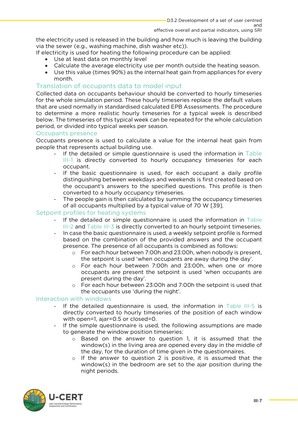the electricity used is released in the building and how much is leaving the building via the sewer (e.g., washing machine, dish washer etc)).

- If electricity is used for heating the following procedure can be applied:
	-
- Use at least data on monthly level<br>• Calculate the average electricity use per month outside the heati • Calculate the average electricity use per month outside the heating season.
	- Use this value (times 90%) as the internal heat gain from appliances for every

### <span id="page-51-0"></span>Translation of occupants data to model input

Collected data on occupants behaviour should be converted to hourly timeseries for the whole simulation period. These hourly timeseries replace the default values that are used normally in standardised calculated EPB Assessments. The procedure to determine a more realistic hourly timeseries for a typical week is described below. The timeseries of this typical week can be repeated for the whole calculation period, or divided into typical weeks per season.

### <span id="page-51-1"></span>Occupants presence.

Occupants presence is used to calculate a value for the internal heat gain from people that represents actual building use.

- [If th](#page-48-3)e detailed or simple questionnaire is used the information in Table<br>III-1 is directly converted to hourly occupancy timeseries for each III-1 is directly converted to hourly occupancy timeseries for each occupant.
	- If the basic questionnaire is used, for each occupant a daily profile<br>distinguishing between weekdays and weekends is first created based on distinguishing between weekdays and weekends is first created based on the occupant's answers to the specified questions. This profile is then converted to a hourly occupancy timeseries.
- The people gain is then calculated by summing the occupancy timeseries<br>of all occupants multiplied by a typical value of 70 W [39] of all occupants multiplied by a typical value of 70 W [39].<br>Setpoint profiles for heating systems

- <span id="page-51-2"></span>[If th](#page-49-2)e d[etailed or s](#page-49-3)imple questionnaire is used the information in Table<br>III-2 and [Table](#page-49-2) III-3 is directly converted to an hourly setpoint timeseries
	- III-2 and Table III-3 is directly converted to an increasing the annual timeseries.<br>hased on the combination of the provided answers and the occupant based on the combination of the provided answers and the occupant presence. The presence of all occupants is combined as follows:
		- o For each hour between 7:00h and 23:00h, when nobody is present,<br>the setpoint is used 'when occupants are away during the day'
			- $\circ$  For each hour between 7:00h and 23:00h, when one or more occupants are present the setpoint is used 'when occupants are present during the day'.
- $\circ$  For each hour between 23:00h and 7:00h the setpoint is used that<br>the occupants use 'during the pight' the occupants use 'during the night'.<br>Interaction with windows

- <span id="page-51-3"></span>If the detailed questionnaire is used, the information in [Table III-5](#page-50-4) is<br>directly converted to bourly timeseries of the position of each window. directly converted to hourly timeseries of the position of each window with open=1, ajar=0.5 or closed=0.
	- If the simple questionnaire is used, the following assumptions are made<br>to generate the window position timeseries:
		- o Based on the answer to question 1, it is assumed that the window (s) in the living area are opened every day in the middle of window(s) in the living area are opened every day in the middle of the day, for the duration of time given in the questionnaires.
			- o If the answer to question 2 is positive, it is assumed that the window  $(s)$  in the bedroom are set to the aiar position during the window(s) in the bedroom are set to the ajar position during the night periods. night periods.

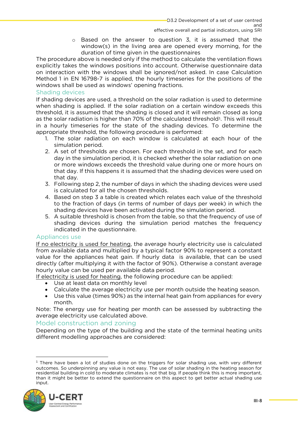$\circ$  Based on the answer to question 3, it is assumed that the window(s) in the living area are opened every morning, for the duration of time given in the questionnaires

The procedure above is needed only if the method to calculate the ventilation flows explicitly takes the windows positions into account. Otherwise questionnaire data on interaction with the windows shall be ignored/not asked. In case Calculation Method 1 in EN 16798-7 is applied, the hourly timeseries for the positions of the windows shall be used as windows' opening fractions.

### <span id="page-52-0"></span>Shading devices

If shading devices are used, a threshold on the solar radiation is used to determine when shading is applied. If the solar radiation on a certain window exceeds this threshold, it is assumed that the shading is closed and it will remain closed as long as the solar radiation is higher than 70% of the calculated threshold<sup>1</sup>. This will result<br>in a hourly timeseries for the state of the shading devices. To determine the in a hourly timeseries for the state of the shading devices. To determine the a poropriate threshold, the following procedure is performed:

- 1. The solar radiation on each window is calculated at each hour of the simulation period.
- 2. A set of thresholds are chosen. For each threshold in the set, and for each day in the simulation period, it is checked whether the solar radiation on one or more windows exceeds the threshold value during one or more hours on that day. If this happens it is assumed that the shading devices were used on  $\frac{1}{\sqrt{2}}$  that day.
- that day.<br>3. Following step 2, the number of days in which the shading devices were used is calculated for all the chosen thresholds.
- 4. Based on step 3 a table is created which relates each value of the threshold to the fraction of days (in terms of number of days per week) in which the shading devices have been activated during the simulation period.
- 5. A suitable threshold is chosen from the table, so that the frequency of use of shading devices during the simulation period matches the frequency indicated in the question naire.

### <span id="page-52-1"></span>Appliances use

If no electricity is used for heating, the average hourly electricity use is calculated from available data and multiplied by a typical factor 90% to represent a constant value for the appliances heat gain. If hourly data is available, that can be used directly (after multiplying it with the factor of 90%). Otherwise a constant average hourly value can be used per available data period.

If electricity is used for heating, the following procedure can be applied:

- 
- Use at least data on monthly level<br>• Calculate the average electricity use per month outside the heating • Calculate the average electricity use per month outside the heating season.
	- Use this value (times 90%) as the internal heat gain from appliances for every month.

Note: The energy use for heating per month can be assessed by subtracting the average electricity use calculated above.

### <span id="page-52-2"></span>Model construction and zoning.

Depending on the type of the building and the state of the terminal heating units different modelling approaches are considered: different modelling approaches are considered:

<sup>&</sup>lt;sup>1</sup> There have been a lot of studies done on the triggers for solar shading use, with very different outcomes. So underpinning any value is not easy. The use of solar shading in the heating season for residential building in cold to moderate climates is not that big. If people think this is more important, than it might be better to extend the questionnaire on this aspect to get better actual shading use  $\frac{1}{2}$  in  $\frac{1}{2}$  is associated to extend the questionnaire on the get better actual shading use  $\frac{1}{2}$ input.

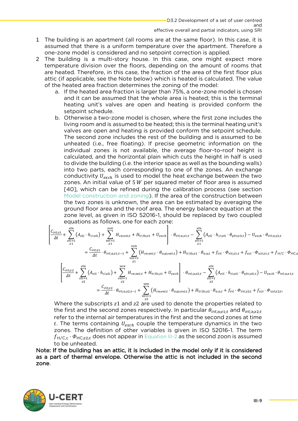- effective overall and partial indicators, using SRI 1 The building is an apartment (all rooms are at the same floor). In this case, it is assumed that there is a uniform temperature over the apartment. Therefore a one-zone model is considered and no setpoint correction is applied.
- 2 The building is a multi-story house. In this case, one might expect more<br>temperature division over the floors depending on the amount of rooms that temperature division over the floors, depending on the amount of rooms that are heated. Therefore, in this case, the fraction of the area of the first floor plus attic (if applicable, see the Note below) which is heated is calculated. The value of the heated area fraction determines the zoning of the model:
	- a. If the heated area fraction is larger than 75%, a one-zone model is chosen and it can be assumed that the whole area is heated; this is the terminal heating unit's valves are open and heating is provided conform the setpoint schedule.
	- b. Otherwise a two-zone model is chosen, where the first zone includes the living room and is assumed to be heated; this is the terminal heating unit's valves are open and heating is provided conform the setpoint schedule. The second zone includes the rest of the building and is assumed to be unheated (i.e., free floating). If precise geometric information on the individual zones is not available, the average floor-to-roof height is calculated, and the horizontal plain which cuts the height in half is used to divide the building (i.e. the interior space as well as the bounding walls) into two parts, each corresponding to one of the zones. An exchange conductivity  $U_{exch}$  is used to model the heat exchange between the two zones. An initial value of 5 W per squared meter of floor area is assumed zones. An initial value of 5  $W$  per squared meter of floor area is assumed  $[40]$ , which can be refined during the calibration process (see section Model construction and zoning). If the area of the construction between the two zones is unknown, the area can be estimated by averaging the ground floor area and the roof area. The energy balance equation at the zone level, as given in ISO 52016-1, should be replaced by two coupled zonations as follows, one for each zone:

$$
\left[\frac{C_{\text{int};z1}}{\Delta t} + \sum_{\substack{ell=1 \ 21}}^{\ell ln} (A_{ell} \cdot h_{\text{ci};ell}) + \sum_{\substack{vel=1 \ 21}}^{\ell en} H_{\text{ve};veit} + H_{\text{tr;tb};z1} + U_{exch} \right] \cdot \theta_{\text{int};a;z1;t} - \sum_{\substack{ell=1 \ 21}}^{\ell ln} (A_{ell} \cdot h_{\text{ci};eli} \cdot \theta_{\text{pln};eli;t}) - U_{exch} \cdot \theta_{\text{int};a;z2;t} \n= \frac{C_{\text{int};z1}}{\Delta t} \cdot \theta_{\text{int};a;z1;t-1} + \sum_{\substack{vel=1 \ 221}}^{\ell en} (H_{\text{ve};veit} \cdot \theta_{\text{sup};vei;t}) + H_{\text{tr;tb};z1} \cdot \theta_{\text{e};a;t} + f_{\text{int}} \cdot \phi_{\text{int};z1;t} + f_{\text{sol}} \cdot \phi_{\text{sol};z1;t} + f_{\text{H/C}} \cdot \phi_{\text{HC};z1;t}.
$$

<span id="page-53-1"></span><span id="page-53-0"></span>
$$
\left[ \frac{C_{\text{int};z2}}{\Delta t} + \sum_{\substack{ell=1 \ z2}}^{eln} (A_{eli} \cdot h_{\text{ci},eli}) + \sum_{\substack{vel=1 \ z2}}^{ven} H_{\text{ve};veit} + H_{\text{tr;tb};z1} + U_{exch} \right] \cdot \theta_{\text{int};a;z2;t} - \sum_{\substack{ell=1 \ z2}}^{eln} (A_{eli} \cdot h_{\text{ci},eli} \cdot \theta_{\text{pln};eli;t}) - U_{exch} \cdot \theta_{\text{int};a;z1;t}
$$

$$
= \frac{C_{\text{int};z2}}{\Delta t} \cdot \theta_{\text{int};a;z2;t-1} + \sum_{\substack{vel=1 \ z2}}^{ven} (H_{\text{ve};veit} \cdot \theta_{\text{sup};vei;t}) + H_{\text{tr;tb};z2} \cdot \theta_{\text{e};a;t} + f_{\text{int}} \cdot \phi_{\text{int};z2;t} + f_{\text{sol}} \cdot \phi_{\text{sol};z2;t},
$$

Where the subscripts  $z1$  and  $z2$  are used to denote the properties related to the first and the second zones respectively. In particular  $\theta$  is a small  $\theta$  is a second zones respectively. In particular  $\theta$  is a small the first and the second zones respectively. In particular  $\theta_{\text{int};a;z1;t}$  and  $\theta_{\text{int};a;z2;t}$  refer to the internal air temperatures in the first and the second zones at time t. The terms containing  $U_{exch}$  couple the temperature dynamics in the two<br>zones The definition of other variables is given in ISO 52016-1. The term  $f_{H/C,C} \cdot \Phi_{H C; z2;t}$  does not appear in Equation III-2 as the second zoon is assumed<br>to be upheated

Note: If the building has an attic, it is included in the model only if it is considered note: If the building has an attic, it is included in the model only if it is considered.<br>As a part of thermal envelope. Otherwise the attic is not included in the second as a part of thermal envelope. Otherwise the attic is not included in the second zone.

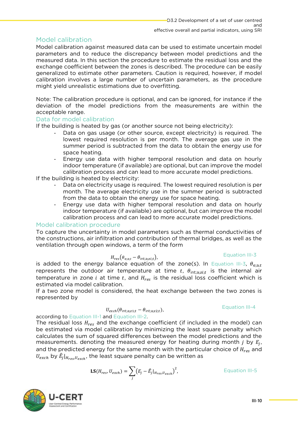<span id="page-54-0"></span>Model calibration<br>Model calibration against measured data can be used to estimate uncertain model parameters and to reduce the discrepancy between model predictions and the measured data. In this section the procedure to estimate the residual loss and the exchange coefficient between the zones is described. The procedure can be easily generalized to estimate other parameters. Caution is required, however, if model calibration involves a large number of uncertain parameters, as the procedure might yield unrealistic estimations due to overfitting. might yield unrealistic estimations due to overfitting.

Note: The calibration procedure is optional, and can be ignored, for instance if the deviation of the model predictions from the measurements are within the acceptable range.

### <span id="page-54-1"></span>Data for model calibration

If the building is heated by gas (or another source not being electricity):

- If the building is heated by gas (or another course the bang electricity):<br>- Data on gas usage (or other source, except electricity) is required. The<br>lowest required resolution is per month. The average gas use in the lowest required resolution is per month. The average gas use in the summer period is subtracted from the data to obtain the energy use for space heating.
	- space heating.<br>Energy use data with higher temporal resolution and data on hourly<br>indoor temperature (if available) are optional but can improve the model indoor temperature (if available) are optional, but can improve the model calibration process and can lead to more accurate model predictions.

If the building is heated by electricity:

- If the building is required. The lowest required resolution is per<br>month. The average electricity use in the summer period is subtracted month. The average electricity use in the summer period is subtracted from the data to obtain the energy use for space heating.
	- from the data to obtain the energy use data with higher temporal resolution and data on hourly<br>indoor temperature (if available) are optional but can improve the model indoor temperature (if available) are optional, but can improve the model

### <span id="page-54-2"></span>Model calibration procedure

To capture the uncertainty in model parameters such as thermal conductivities of the constructions, air infiltration and contribution of thermal bridges, as well as the ventilation through open windows, a term of the form ventilation through open windows, a term of the form

$$
H_{res}(\theta_{e;a;t} - \theta_{int;a;zi;t}),
$$

## <span id="page-54-3"></span>Equation III-3

is added to the energy balance equation of the zone(s). In [Equation III-3](#page-54-3),  $\theta_{\rm e;aj}$ <br>represents the outdoor air temperature at time t.  $\theta_{\rm e}$ , ... is the internal air represents the outdoor air temperature at time t,  $\theta_{\text{int}:a:zt:t}$  is the internal air temperature in zone  $i$  at time  $t$ , and  $H_{res}$  is the residual loss coefficient which is estimated via model calibration

estimated via model calibration.<br>If a two zone model is considered, the heat exchange between the two zones is represented by represented by

$$
U_{exch}(\theta_{\text{int};a;z1;t} - \theta_{\text{int};a;z2;t}),
$$

<span id="page-54-4"></span>Equation III-4

according to Equation III-1 and Equation III-2.

The residual loss  $H_{res}$  and the exchange coefficient (if included in the model) can<br>be estimated via model calibration by minimizing the least square penalty which be estimated via model calibration by minimizing the least square penalty which calculates the sum of squared differences between the model predictions and the measurements. denoting the measured energy for heating during month  $j$  by  $E_j$ ,<br>and the prodicted energy for the same month with the particular choice of  $H_{\alpha}$  and and the predicted energy for the same month with the particular choice of  $H_{res}$  and  $H_{res}$  and  $H_{res}$  and the least square penalty can be written as  $U_{exch}$  by  $\hat{E}_j|_{H_{res},U_{exch}}$ , the least square penalty can be written as

$$
\text{LS}(H_{res}, U_{exch}) = \sum_{j} \left( E_j - \hat{E}_j \vert_{H_{res}, U_{exch}} \right)^2, \tag{Equation III-5}
$$

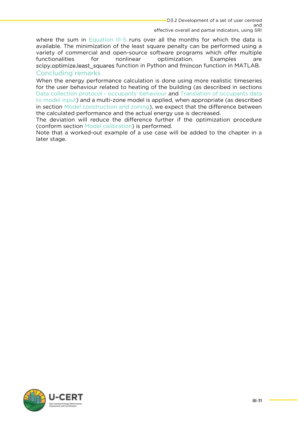effective overall and partial indicators, using SRI where the sum in [Equation III-5](#page-54-4) runs over all the months for which the data is available. The minimization of the least square penalty can be performed using a variety of commercial and open-source software programs which offer multiple functionalities for nonlinear optimization. Examples are scipy.optimize.least squares function in Python and fmincon function in MATLAB. Concluding remarks

<span id="page-55-0"></span>When the energy performance calculation is done using more realistic timeseries for the user behaviour related to heating of the building (as described in sections Data collection protocol - occupants' behaviour and Translation of occupants data to model input) and a multi-zone model is applied, when appropriate (as described in section Model construction and zoning), we expect that the difference between the calculated performance and the actual energy use is decreased.

The deviation will reduce the difference further if the optimization procedure (conform section Model calibration) is performed.

(comment commenced called called portomnoments) is performed. Note that a worked-out example of a worked-out example of a use case will be added to the chapter in a use of the chapter in a use of the chapter in a use of the chapter in a use of the chapter in a use of the chapter in a later stage.